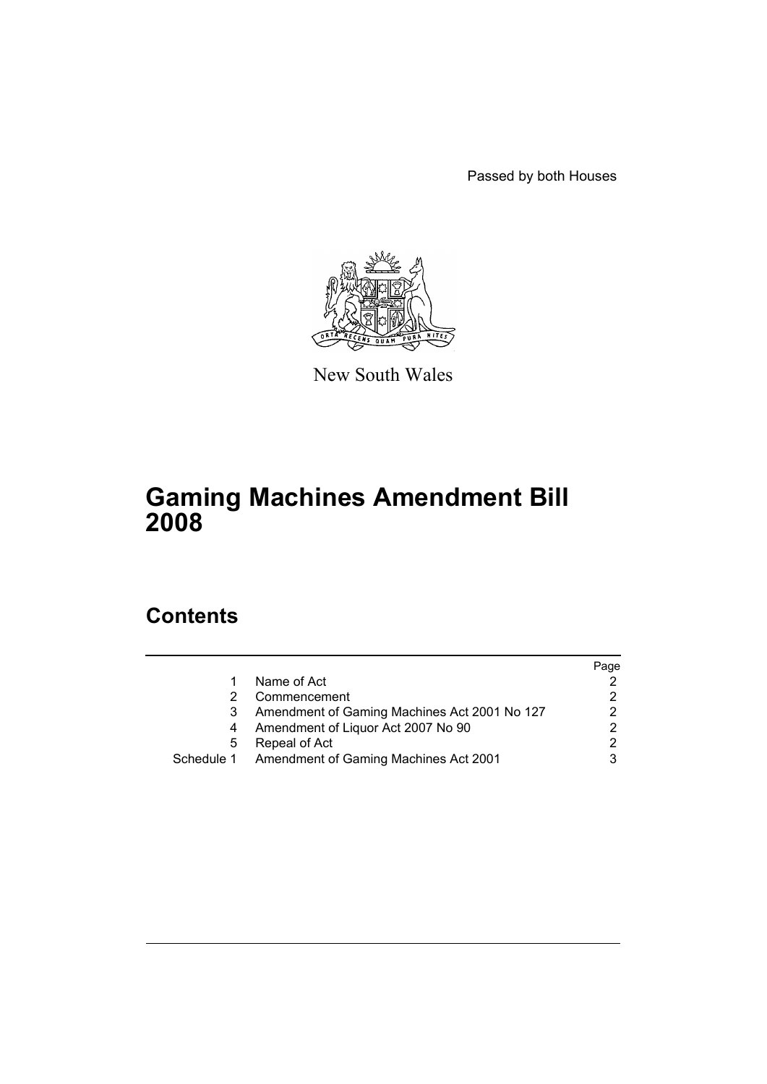Passed by both Houses



New South Wales

# **Gaming Machines Amendment Bill 2008**

## **Contents**

|   |                                                  | Page          |
|---|--------------------------------------------------|---------------|
|   | Name of Act                                      |               |
|   | Commencement                                     | 2             |
|   | Amendment of Gaming Machines Act 2001 No 127     | $\mathcal{P}$ |
| 4 | Amendment of Liquor Act 2007 No 90               | 2             |
| 5 | Repeal of Act                                    | $\mathcal{P}$ |
|   | Schedule 1 Amendment of Gaming Machines Act 2001 |               |
|   |                                                  |               |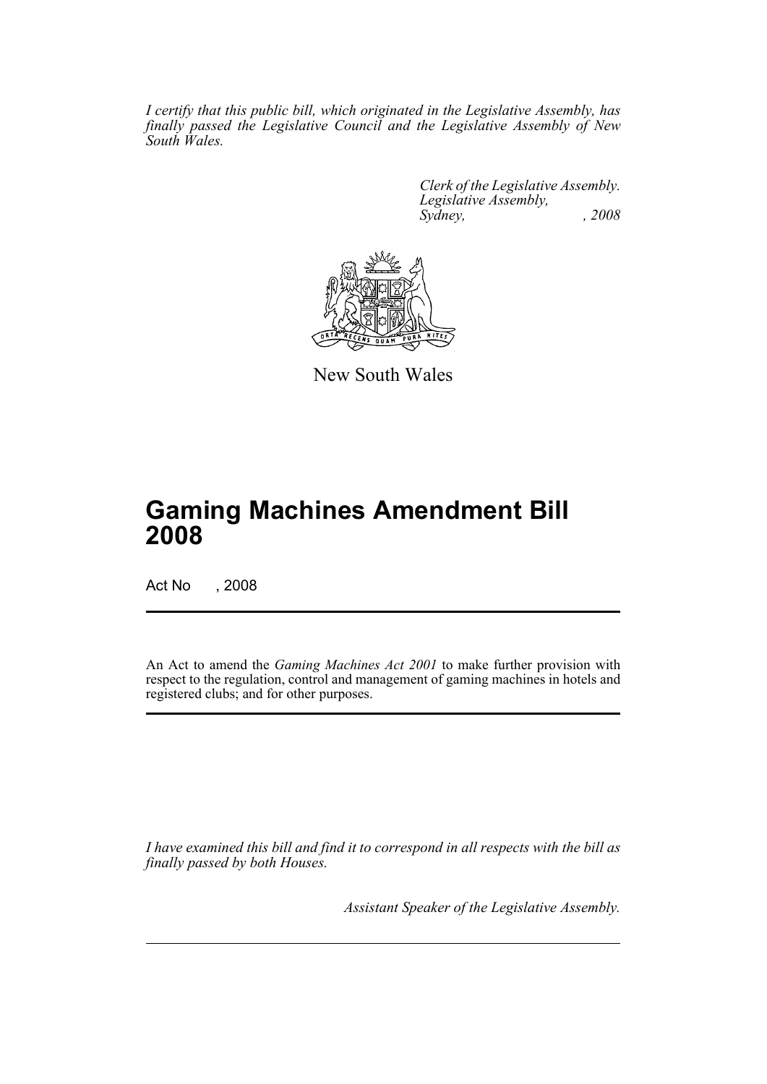*I certify that this public bill, which originated in the Legislative Assembly, has finally passed the Legislative Council and the Legislative Assembly of New South Wales.*

> *Clerk of the Legislative Assembly. Legislative Assembly, Sydney, , 2008*



New South Wales

## **Gaming Machines Amendment Bill 2008**

Act No , 2008

An Act to amend the *Gaming Machines Act 2001* to make further provision with respect to the regulation, control and management of gaming machines in hotels and registered clubs; and for other purposes.

*I have examined this bill and find it to correspond in all respects with the bill as finally passed by both Houses.*

*Assistant Speaker of the Legislative Assembly.*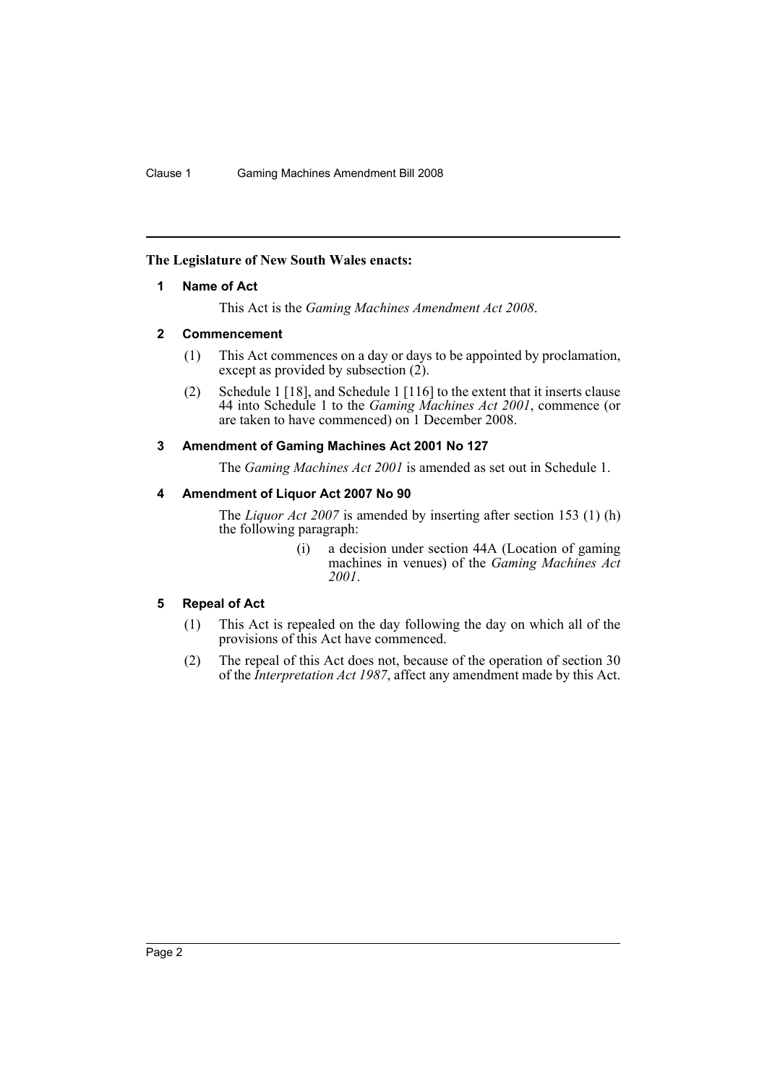### <span id="page-2-0"></span>**The Legislature of New South Wales enacts:**

### **1 Name of Act**

This Act is the *Gaming Machines Amendment Act 2008*.

### <span id="page-2-1"></span>**2 Commencement**

- (1) This Act commences on a day or days to be appointed by proclamation, except as provided by subsection  $(2)$ .
- (2) Schedule 1 [18], and Schedule 1 [116] to the extent that it inserts clause 44 into Schedule 1 to the *Gaming Machines Act 2001*, commence (or are taken to have commenced) on 1 December 2008.

### <span id="page-2-2"></span>**3 Amendment of Gaming Machines Act 2001 No 127**

The *Gaming Machines Act 2001* is amended as set out in Schedule 1.

### <span id="page-2-3"></span>**4 Amendment of Liquor Act 2007 No 90**

The *Liquor Act 2007* is amended by inserting after section 153 (1) (h) the following paragraph:

> (i) a decision under section 44A (Location of gaming machines in venues) of the *Gaming Machines Act 2001*.

### <span id="page-2-4"></span>**5 Repeal of Act**

- (1) This Act is repealed on the day following the day on which all of the provisions of this Act have commenced.
- (2) The repeal of this Act does not, because of the operation of section 30 of the *Interpretation Act 1987*, affect any amendment made by this Act.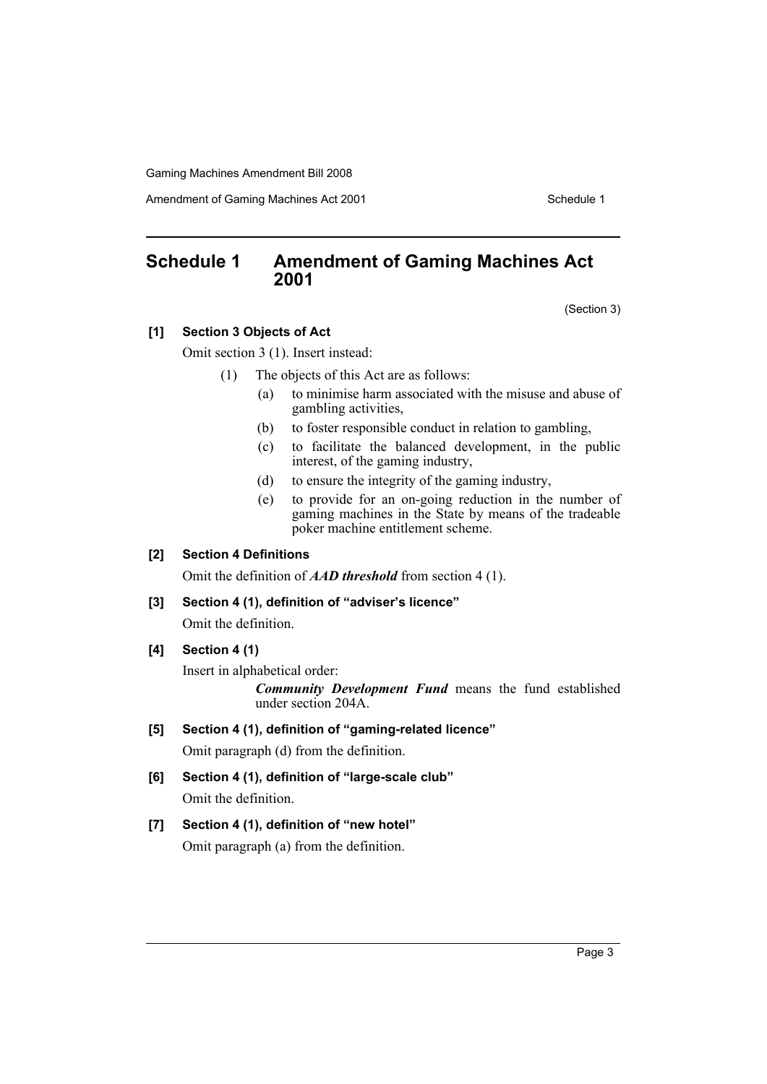Amendment of Gaming Machines Act 2001 Schedule 1

## <span id="page-3-0"></span>**Schedule 1 Amendment of Gaming Machines Act 2001**

(Section 3)

### **[1] Section 3 Objects of Act**

Omit section 3 (1). Insert instead:

- (1) The objects of this Act are as follows:
	- (a) to minimise harm associated with the misuse and abuse of gambling activities,
	- (b) to foster responsible conduct in relation to gambling,
	- (c) to facilitate the balanced development, in the public interest, of the gaming industry,
	- (d) to ensure the integrity of the gaming industry,
	- (e) to provide for an on-going reduction in the number of gaming machines in the State by means of the tradeable poker machine entitlement scheme.

### **[2] Section 4 Definitions**

Omit the definition of *AAD threshold* from section 4 (1).

#### **[3] Section 4 (1), definition of "adviser's licence"**

Omit the definition.

### **[4] Section 4 (1)**

Insert in alphabetical order:

*Community Development Fund* means the fund established under section 204A.

### **[5] Section 4 (1), definition of "gaming-related licence"**

Omit paragraph (d) from the definition.

**[6] Section 4 (1), definition of "large-scale club"** Omit the definition.

### **[7] Section 4 (1), definition of "new hotel"**

Omit paragraph (a) from the definition.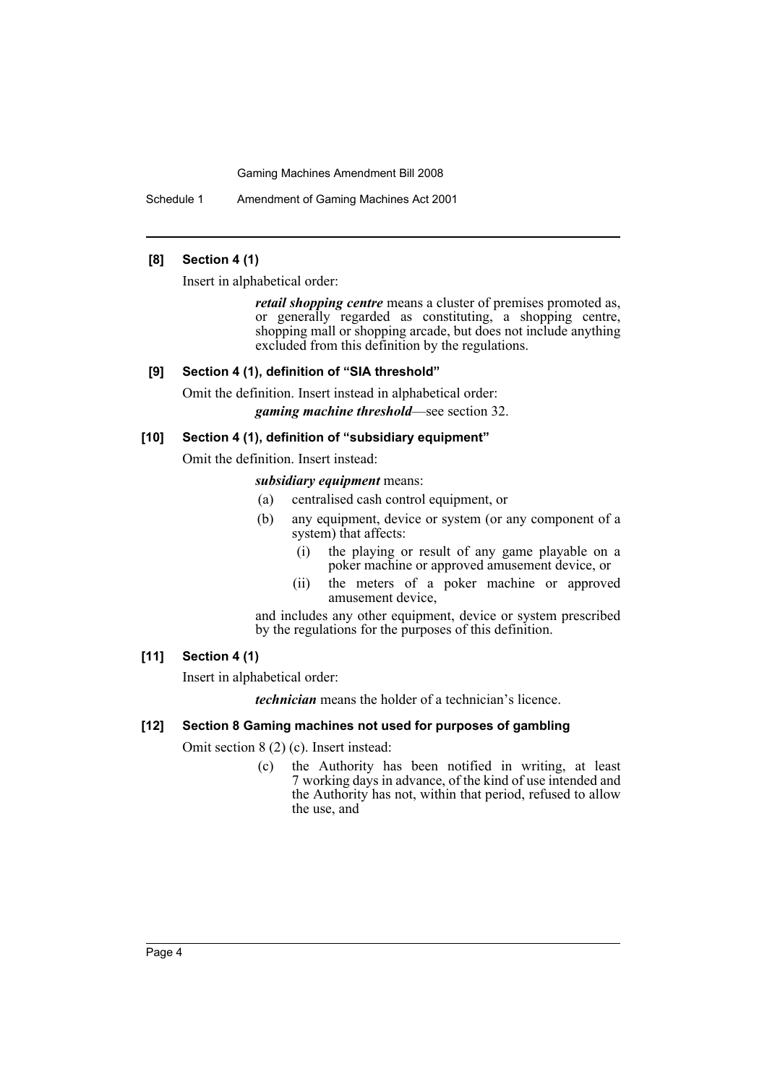Schedule 1 Amendment of Gaming Machines Act 2001

### **[8] Section 4 (1)**

Insert in alphabetical order:

*retail shopping centre* means a cluster of premises promoted as, or generally regarded as constituting, a shopping centre, shopping mall or shopping arcade, but does not include anything excluded from this definition by the regulations.

### **[9] Section 4 (1), definition of "SIA threshold"**

Omit the definition. Insert instead in alphabetical order: *gaming machine threshold*—see section 32.

### **[10] Section 4 (1), definition of "subsidiary equipment"**

Omit the definition. Insert instead:

### *subsidiary equipment* means:

- (a) centralised cash control equipment, or
- (b) any equipment, device or system (or any component of a system) that affects:
	- (i) the playing or result of any game playable on a poker machine or approved amusement device, or
	- (ii) the meters of a poker machine or approved amusement device,

and includes any other equipment, device or system prescribed by the regulations for the purposes of this definition.

### **[11] Section 4 (1)**

Insert in alphabetical order:

*technician* means the holder of a technician's licence.

### **[12] Section 8 Gaming machines not used for purposes of gambling**

Omit section 8 (2) (c). Insert instead:

(c) the Authority has been notified in writing, at least 7 working days in advance, of the kind of use intended and the Authority has not, within that period, refused to allow the use, and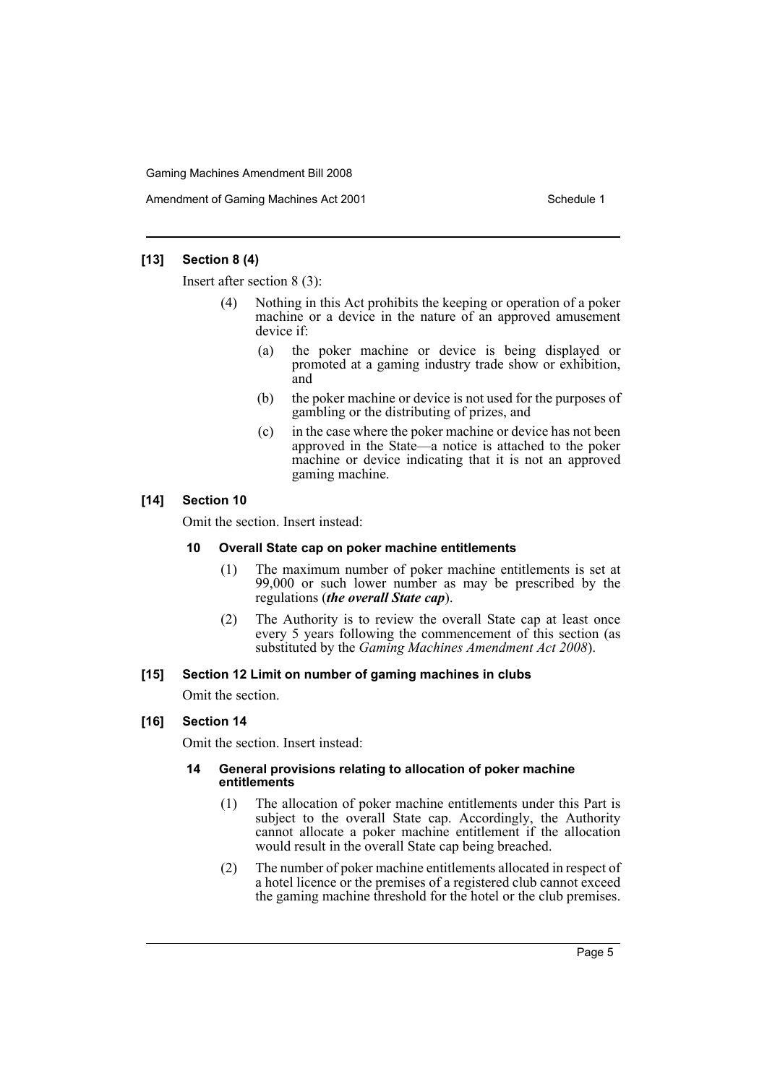Amendment of Gaming Machines Act 2001 Schedule 1

### **[13] Section 8 (4)**

Insert after section 8 (3):

- Nothing in this Act prohibits the keeping or operation of a poker machine or a device in the nature of an approved amusement device if:
	- (a) the poker machine or device is being displayed or promoted at a gaming industry trade show or exhibition, and
	- (b) the poker machine or device is not used for the purposes of gambling or the distributing of prizes, and
	- (c) in the case where the poker machine or device has not been approved in the State—a notice is attached to the poker machine or device indicating that it is not an approved gaming machine.

### **[14] Section 10**

Omit the section. Insert instead:

### **10 Overall State cap on poker machine entitlements**

- (1) The maximum number of poker machine entitlements is set at 99,000 or such lower number as may be prescribed by the regulations (*the overall State cap*).
- (2) The Authority is to review the overall State cap at least once every 5 years following the commencement of this section (as substituted by the *Gaming Machines Amendment Act 2008*).

### **[15] Section 12 Limit on number of gaming machines in clubs**

Omit the section.

### **[16] Section 14**

Omit the section. Insert instead:

### **14 General provisions relating to allocation of poker machine entitlements**

- (1) The allocation of poker machine entitlements under this Part is subject to the overall State cap. Accordingly, the Authority cannot allocate a poker machine entitlement if the allocation would result in the overall State cap being breached.
- (2) The number of poker machine entitlements allocated in respect of a hotel licence or the premises of a registered club cannot exceed the gaming machine threshold for the hotel or the club premises.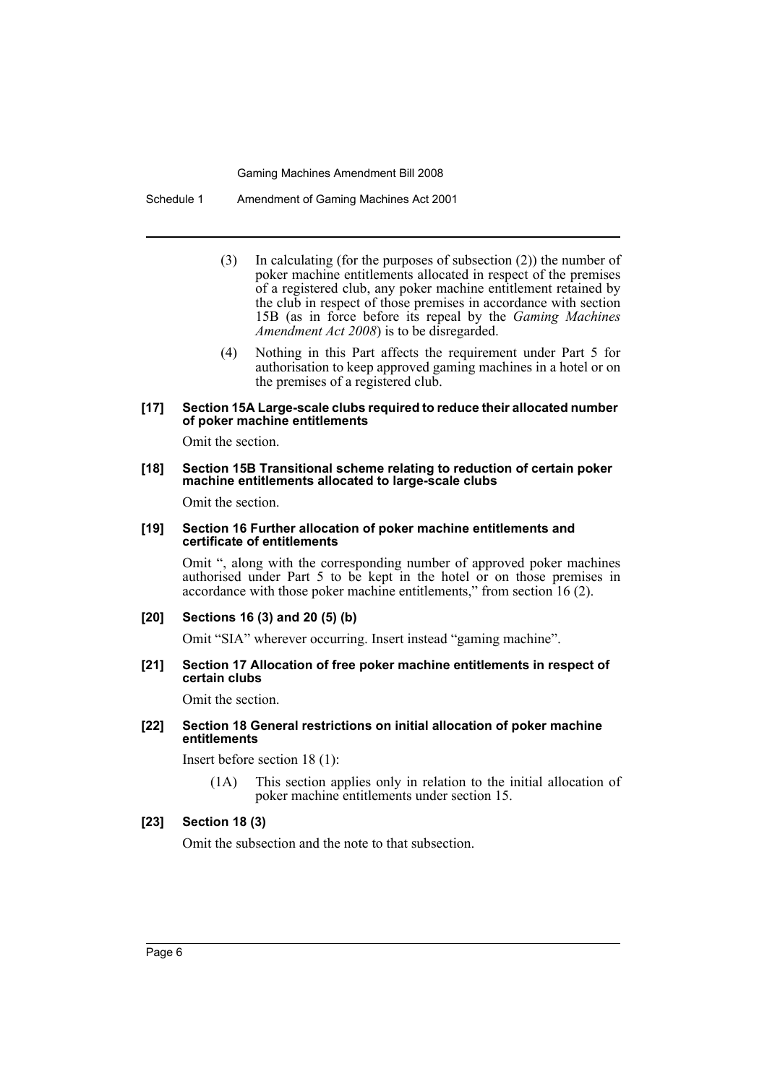Schedule 1 Amendment of Gaming Machines Act 2001

- (3) In calculating (for the purposes of subsection (2)) the number of poker machine entitlements allocated in respect of the premises of a registered club, any poker machine entitlement retained by the club in respect of those premises in accordance with section 15B (as in force before its repeal by the *Gaming Machines Amendment Act 2008*) is to be disregarded.
- (4) Nothing in this Part affects the requirement under Part 5 for authorisation to keep approved gaming machines in a hotel or on the premises of a registered club.

#### **[17] Section 15A Large-scale clubs required to reduce their allocated number of poker machine entitlements**

Omit the section.

#### **[18] Section 15B Transitional scheme relating to reduction of certain poker machine entitlements allocated to large-scale clubs**

Omit the section.

#### **[19] Section 16 Further allocation of poker machine entitlements and certificate of entitlements**

Omit ", along with the corresponding number of approved poker machines authorised under Part 5 to be kept in the hotel or on those premises in accordance with those poker machine entitlements," from section 16 (2).

### **[20] Sections 16 (3) and 20 (5) (b)**

Omit "SIA" wherever occurring. Insert instead "gaming machine".

#### **[21] Section 17 Allocation of free poker machine entitlements in respect of certain clubs**

Omit the section.

### **[22] Section 18 General restrictions on initial allocation of poker machine entitlements**

Insert before section 18 (1):

(1A) This section applies only in relation to the initial allocation of poker machine entitlements under section 15.

### **[23] Section 18 (3)**

Omit the subsection and the note to that subsection.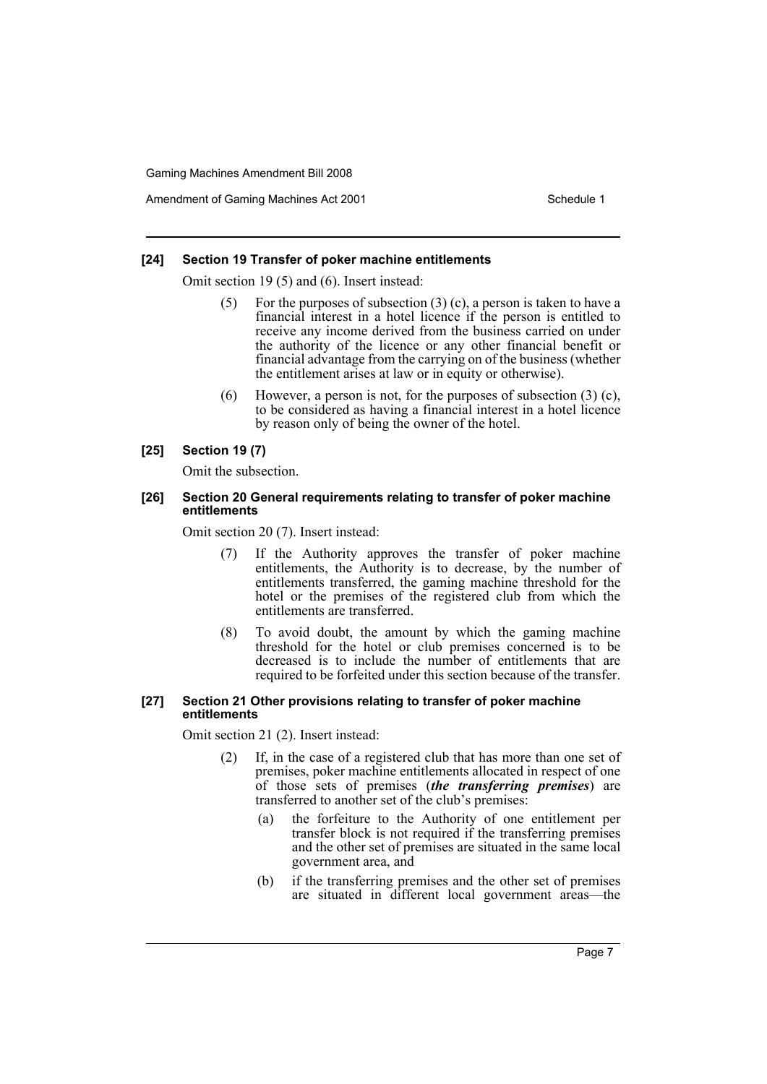Amendment of Gaming Machines Act 2001 Schedule 1

### **[24] Section 19 Transfer of poker machine entitlements**

Omit section 19 (5) and (6). Insert instead:

- For the purposes of subsection  $(3)$  (c), a person is taken to have a financial interest in a hotel licence if the person is entitled to receive any income derived from the business carried on under the authority of the licence or any other financial benefit or financial advantage from the carrying on of the business (whether the entitlement arises at law or in equity or otherwise).
- (6) However, a person is not, for the purposes of subsection (3) (c), to be considered as having a financial interest in a hotel licence by reason only of being the owner of the hotel.

### **[25] Section 19 (7)**

Omit the subsection.

### **[26] Section 20 General requirements relating to transfer of poker machine entitlements**

Omit section 20 (7). Insert instead:

- (7) If the Authority approves the transfer of poker machine entitlements, the Authority is to decrease, by the number of entitlements transferred, the gaming machine threshold for the hotel or the premises of the registered club from which the entitlements are transferred.
- (8) To avoid doubt, the amount by which the gaming machine threshold for the hotel or club premises concerned is to be decreased is to include the number of entitlements that are required to be forfeited under this section because of the transfer.

#### **[27] Section 21 Other provisions relating to transfer of poker machine entitlements**

Omit section 21 (2). Insert instead:

- (2) If, in the case of a registered club that has more than one set of premises, poker machine entitlements allocated in respect of one of those sets of premises (*the transferring premises*) are transferred to another set of the club's premises:
	- (a) the forfeiture to the Authority of one entitlement per transfer block is not required if the transferring premises and the other set of premises are situated in the same local government area, and
	- (b) if the transferring premises and the other set of premises are situated in different local government areas—the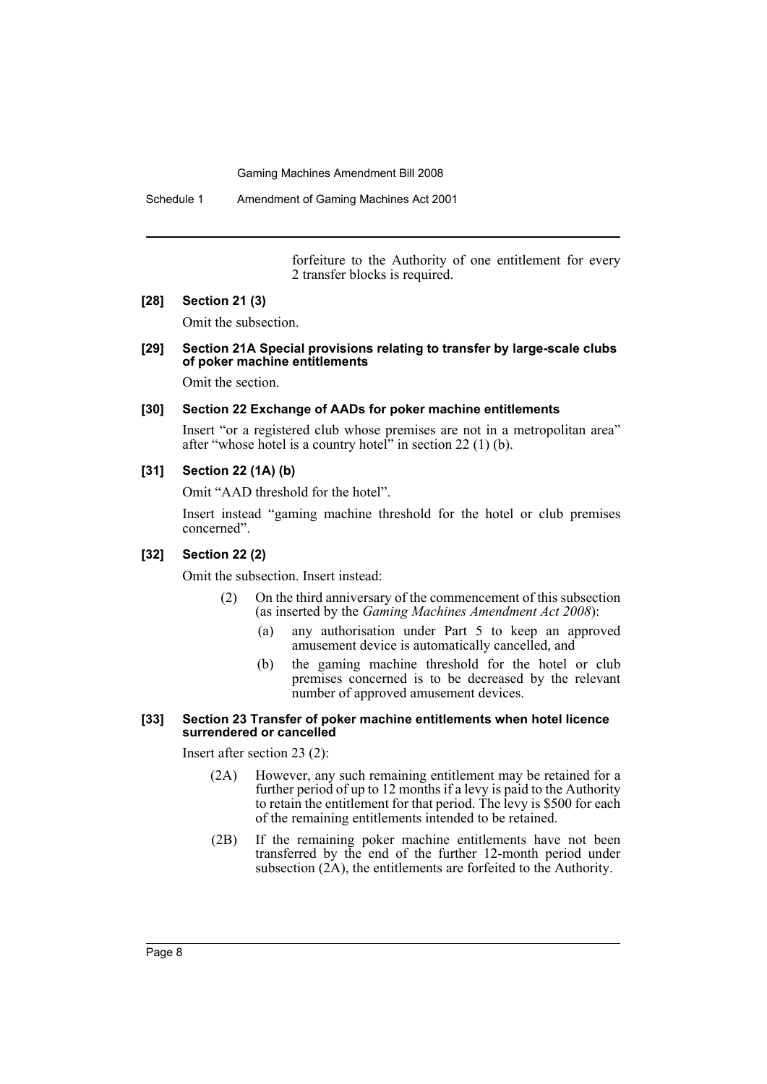Schedule 1 Amendment of Gaming Machines Act 2001

forfeiture to the Authority of one entitlement for every 2 transfer blocks is required.

#### **[28] Section 21 (3)**

Omit the subsection.

### **[29] Section 21A Special provisions relating to transfer by large-scale clubs of poker machine entitlements**

Omit the section.

### **[30] Section 22 Exchange of AADs for poker machine entitlements**

Insert "or a registered club whose premises are not in a metropolitan area" after "whose hotel is a country hotel" in section  $22(1)$  (b).

### **[31] Section 22 (1A) (b)**

Omit "AAD threshold for the hotel".

Insert instead "gaming machine threshold for the hotel or club premises concerned".

### **[32] Section 22 (2)**

Omit the subsection. Insert instead:

- (2) On the third anniversary of the commencement of this subsection (as inserted by the *Gaming Machines Amendment Act 2008*):
	- (a) any authorisation under Part 5 to keep an approved amusement device is automatically cancelled, and
	- (b) the gaming machine threshold for the hotel or club premises concerned is to be decreased by the relevant number of approved amusement devices.

#### **[33] Section 23 Transfer of poker machine entitlements when hotel licence surrendered or cancelled**

Insert after section 23 (2):

- (2A) However, any such remaining entitlement may be retained for a further period of up to 12 months if a levy is paid to the Authority to retain the entitlement for that period. The levy is \$500 for each of the remaining entitlements intended to be retained.
- (2B) If the remaining poker machine entitlements have not been transferred by the end of the further 12-month period under subsection (2A), the entitlements are forfeited to the Authority.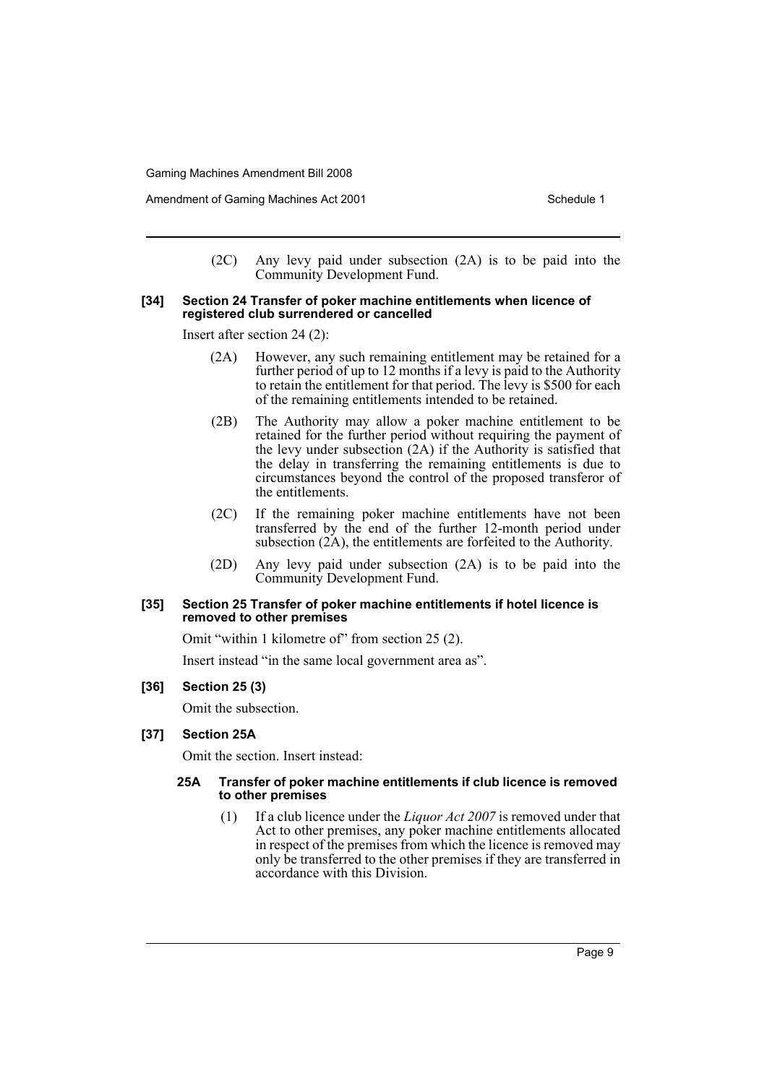(2C) Any levy paid under subsection (2A) is to be paid into the Community Development Fund.

#### **[34] Section 24 Transfer of poker machine entitlements when licence of registered club surrendered or cancelled**

Insert after section 24 (2):

- (2A) However, any such remaining entitlement may be retained for a further period of up to 12 months if a levy is paid to the Authority to retain the entitlement for that period. The levy is \$500 for each of the remaining entitlements intended to be retained.
- (2B) The Authority may allow a poker machine entitlement to be retained for the further period without requiring the payment of the levy under subsection (2A) if the Authority is satisfied that the delay in transferring the remaining entitlements is due to circumstances beyond the control of the proposed transferor of the entitlements.
- (2C) If the remaining poker machine entitlements have not been transferred by the end of the further 12-month period under subsection  $(2\text{\AA})$ , the entitlements are forfeited to the Authority.
- (2D) Any levy paid under subsection (2A) is to be paid into the Community Development Fund.

#### **[35] Section 25 Transfer of poker machine entitlements if hotel licence is removed to other premises**

Omit "within 1 kilometre of" from section 25 (2).

Insert instead "in the same local government area as".

### **[36] Section 25 (3)**

Omit the subsection.

### **[37] Section 25A**

Omit the section. Insert instead:

#### **25A Transfer of poker machine entitlements if club licence is removed to other premises**

(1) If a club licence under the *Liquor Act 2007* is removed under that Act to other premises, any poker machine entitlements allocated in respect of the premises from which the licence is removed may only be transferred to the other premises if they are transferred in accordance with this Division.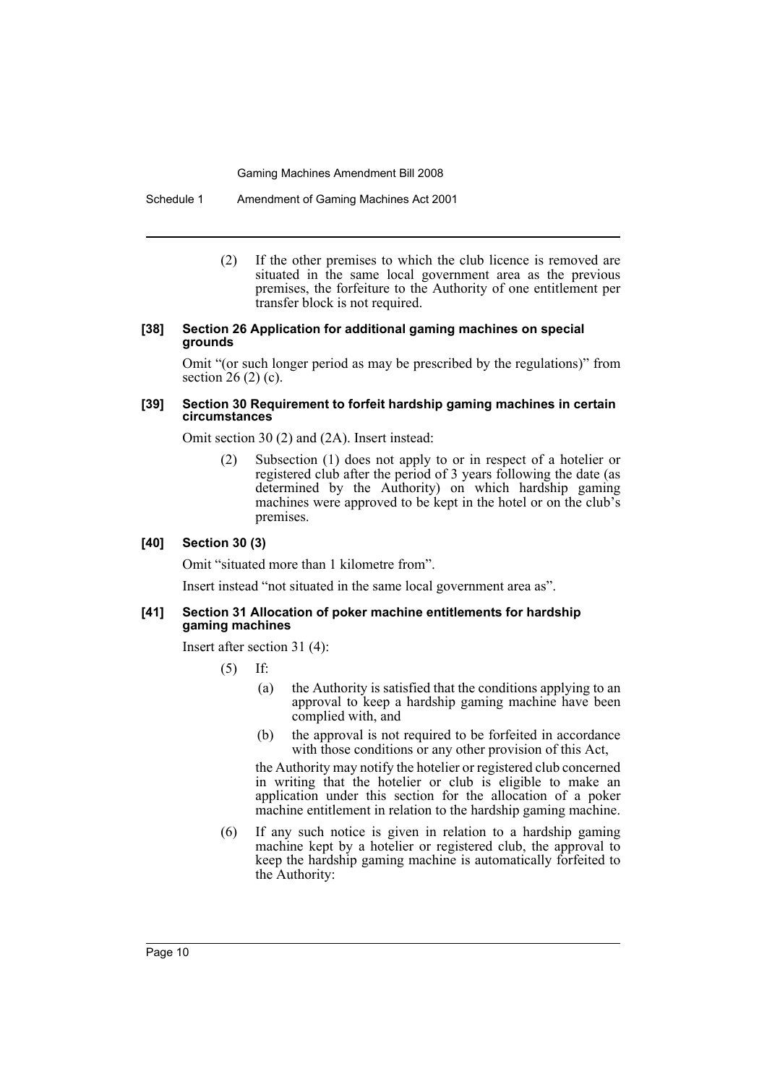Schedule 1 Amendment of Gaming Machines Act 2001

(2) If the other premises to which the club licence is removed are situated in the same local government area as the previous premises, the forfeiture to the Authority of one entitlement per transfer block is not required.

#### **[38] Section 26 Application for additional gaming machines on special grounds**

Omit "(or such longer period as may be prescribed by the regulations)" from section  $26(2)(c)$ .

### **[39] Section 30 Requirement to forfeit hardship gaming machines in certain circumstances**

Omit section 30 (2) and (2A). Insert instead:

(2) Subsection (1) does not apply to or in respect of a hotelier or registered club after the period of 3 years following the date (as determined by the Authority) on which hardship gaming machines were approved to be kept in the hotel or on the club's premises.

### **[40] Section 30 (3)**

Omit "situated more than 1 kilometre from".

Insert instead "not situated in the same local government area as".

#### **[41] Section 31 Allocation of poker machine entitlements for hardship gaming machines**

Insert after section 31 (4):

(5) If:

- (a) the Authority is satisfied that the conditions applying to an approval to keep a hardship gaming machine have been complied with, and
- (b) the approval is not required to be forfeited in accordance with those conditions or any other provision of this Act,

the Authority may notify the hotelier or registered club concerned in writing that the hotelier or club is eligible to make an application under this section for the allocation of a poker machine entitlement in relation to the hardship gaming machine.

(6) If any such notice is given in relation to a hardship gaming machine kept by a hotelier or registered club, the approval to keep the hardship gaming machine is automatically forfeited to the Authority: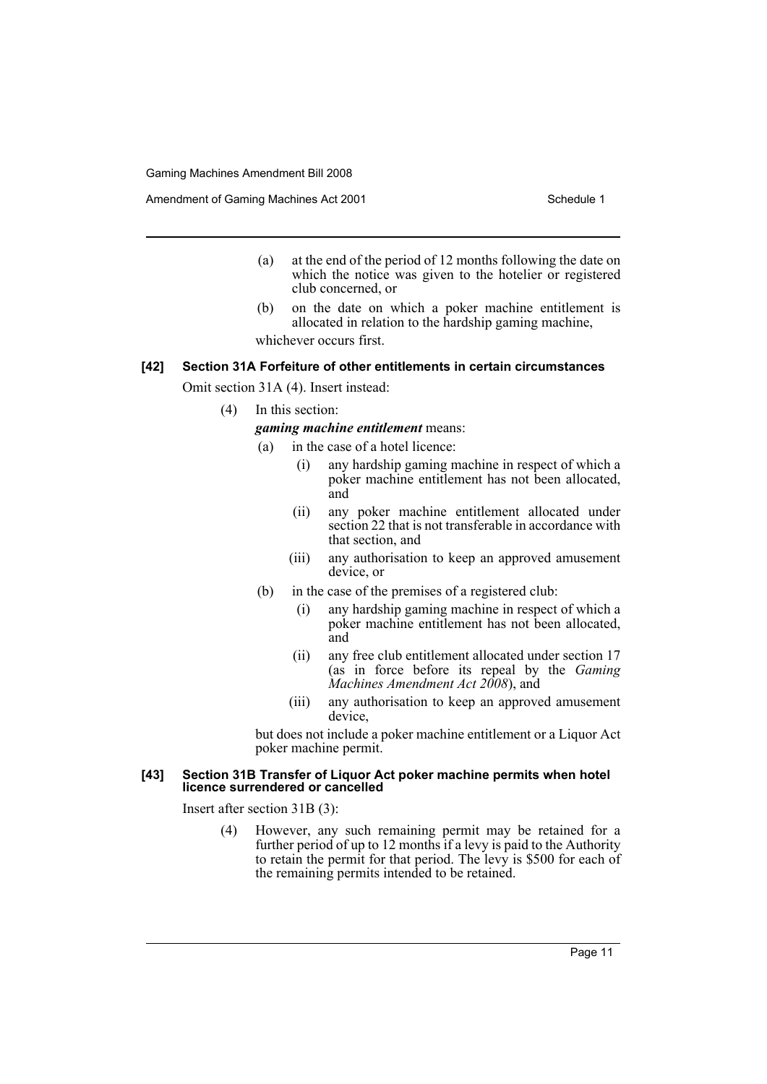Amendment of Gaming Machines Act 2001 Schedule 1

- (a) at the end of the period of 12 months following the date on which the notice was given to the hotelier or registered club concerned, or
- (b) on the date on which a poker machine entitlement is allocated in relation to the hardship gaming machine, whichever occurs first.

### **[42] Section 31A Forfeiture of other entitlements in certain circumstances**

Omit section 31A (4). Insert instead:

(4) In this section:

*gaming machine entitlement* means:

- (a) in the case of a hotel licence:
	- (i) any hardship gaming machine in respect of which a poker machine entitlement has not been allocated, and
	- (ii) any poker machine entitlement allocated under section 22 that is not transferable in accordance with that section, and
	- (iii) any authorisation to keep an approved amusement device, or
- (b) in the case of the premises of a registered club:
	- (i) any hardship gaming machine in respect of which a poker machine entitlement has not been allocated, and
	- (ii) any free club entitlement allocated under section 17 (as in force before its repeal by the *Gaming Machines Amendment Act 2008*), and
	- (iii) any authorisation to keep an approved amusement device,

but does not include a poker machine entitlement or a Liquor Act poker machine permit.

#### **[43] Section 31B Transfer of Liquor Act poker machine permits when hotel licence surrendered or cancelled**

Insert after section 31B (3):

(4) However, any such remaining permit may be retained for a further period of up to 12 months if a levy is paid to the Authority to retain the permit for that period. The levy is \$500 for each of the remaining permits intended to be retained.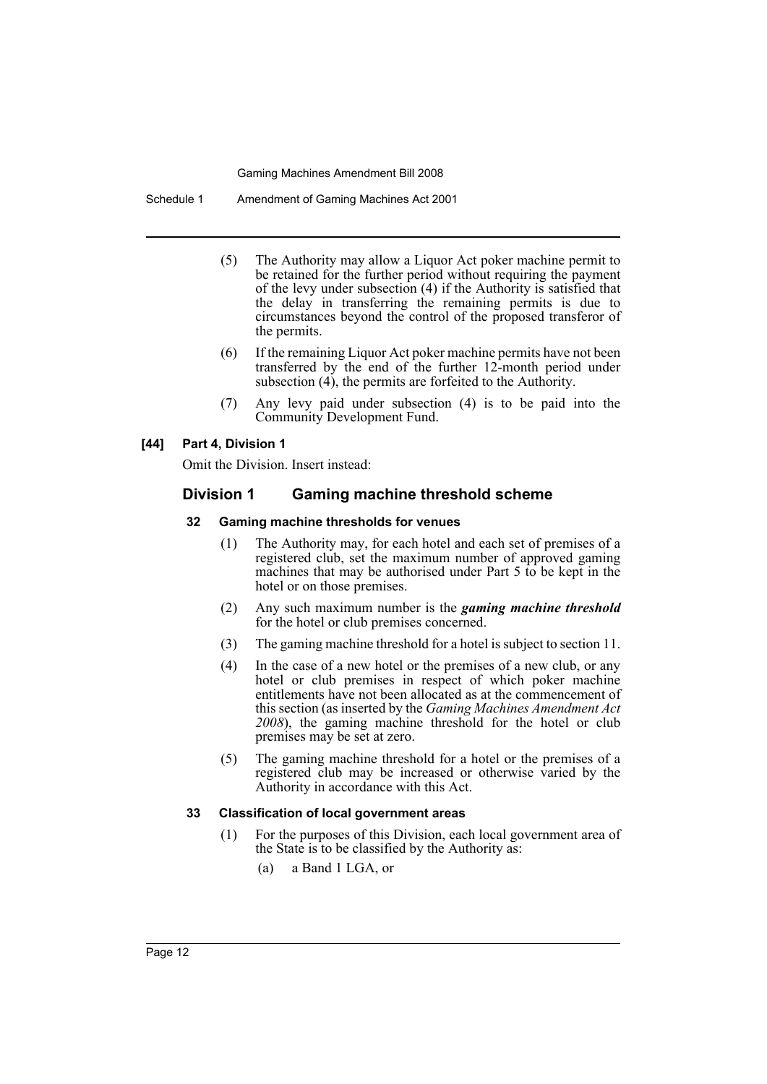Schedule 1 Amendment of Gaming Machines Act 2001

- (5) The Authority may allow a Liquor Act poker machine permit to be retained for the further period without requiring the payment of the levy under subsection (4) if the Authority is satisfied that the delay in transferring the remaining permits is due to circumstances beyond the control of the proposed transferor of the permits.
- (6) If the remaining Liquor Act poker machine permits have not been transferred by the end of the further 12-month period under subsection  $(4)$ , the permits are forfeited to the Authority.
- (7) Any levy paid under subsection (4) is to be paid into the Community Development Fund.

### **[44] Part 4, Division 1**

Omit the Division. Insert instead:

### **Division 1 Gaming machine threshold scheme**

### **32 Gaming machine thresholds for venues**

- (1) The Authority may, for each hotel and each set of premises of a registered club, set the maximum number of approved gaming machines that may be authorised under Part 5 to be kept in the hotel or on those premises.
- (2) Any such maximum number is the *gaming machine threshold* for the hotel or club premises concerned.
- (3) The gaming machine threshold for a hotel is subject to section 11.
- (4) In the case of a new hotel or the premises of a new club, or any hotel or club premises in respect of which poker machine entitlements have not been allocated as at the commencement of this section (as inserted by the *Gaming Machines Amendment Act 2008*), the gaming machine threshold for the hotel or club premises may be set at zero.
- (5) The gaming machine threshold for a hotel or the premises of a registered club may be increased or otherwise varied by the Authority in accordance with this Act.

### **33 Classification of local government areas**

- (1) For the purposes of this Division, each local government area of the State is to be classified by the Authority as:
	- (a) a Band 1 LGA, or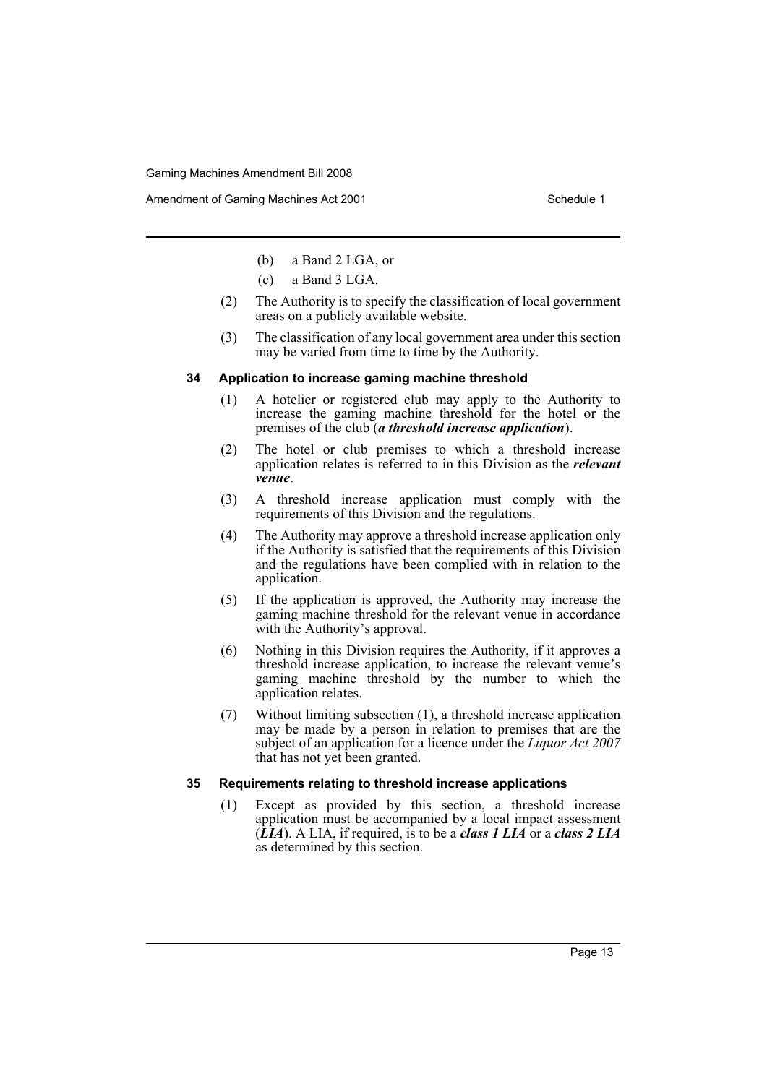Amendment of Gaming Machines Act 2001 Schedule 1

- (b) a Band 2 LGA, or
- (c) a Band 3 LGA.
- (2) The Authority is to specify the classification of local government areas on a publicly available website.
- (3) The classification of any local government area under this section may be varied from time to time by the Authority.

#### **34 Application to increase gaming machine threshold**

- (1) A hotelier or registered club may apply to the Authority to increase the gaming machine threshold for the hotel or the premises of the club (*a threshold increase application*).
- (2) The hotel or club premises to which a threshold increase application relates is referred to in this Division as the *relevant venue*.
- (3) A threshold increase application must comply with the requirements of this Division and the regulations.
- (4) The Authority may approve a threshold increase application only if the Authority is satisfied that the requirements of this Division and the regulations have been complied with in relation to the application.
- (5) If the application is approved, the Authority may increase the gaming machine threshold for the relevant venue in accordance with the Authority's approval.
- (6) Nothing in this Division requires the Authority, if it approves a threshold increase application, to increase the relevant venue's gaming machine threshold by the number to which the application relates.
- (7) Without limiting subsection (1), a threshold increase application may be made by a person in relation to premises that are the subject of an application for a licence under the *Liquor Act 2007* that has not yet been granted.

### **35 Requirements relating to threshold increase applications**

(1) Except as provided by this section, a threshold increase application must be accompanied by a local impact assessment (*LIA*). A LIA, if required, is to be a *class 1 LIA* or a *class 2 LIA* as determined by this section.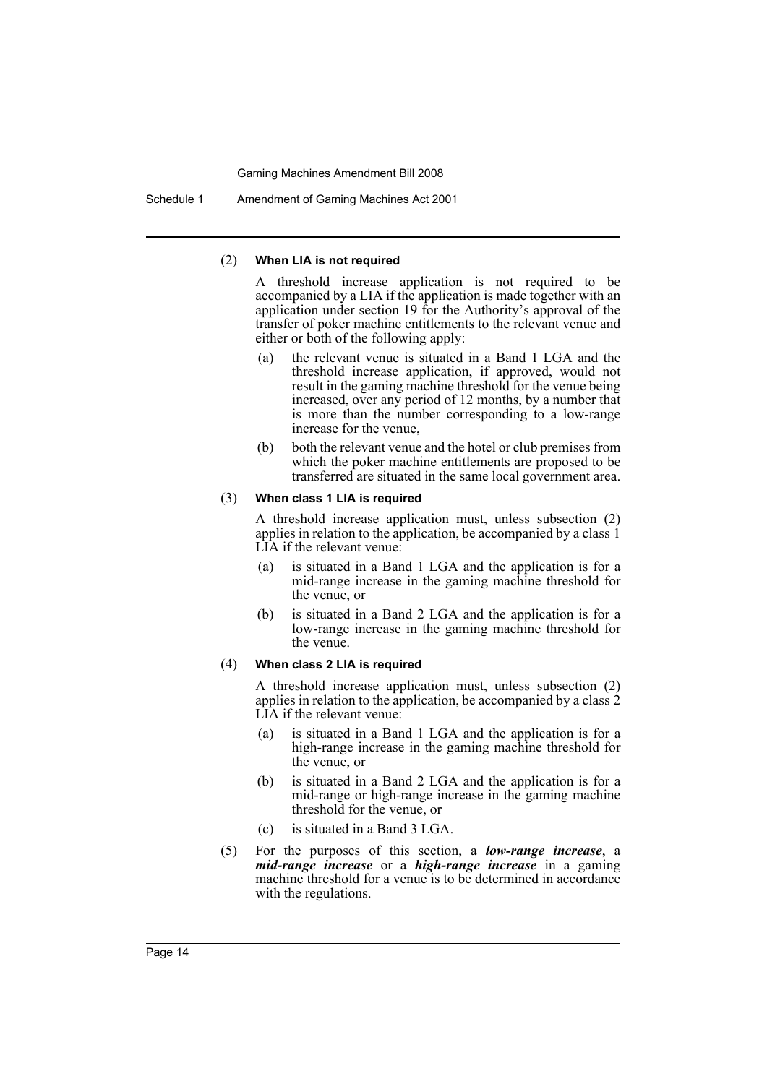Schedule 1 Amendment of Gaming Machines Act 2001

#### (2) **When LIA is not required**

A threshold increase application is not required to be accompanied by a LIA if the application is made together with an application under section 19 for the Authority's approval of the transfer of poker machine entitlements to the relevant venue and either or both of the following apply:

- (a) the relevant venue is situated in a Band 1 LGA and the threshold increase application, if approved, would not result in the gaming machine threshold for the venue being increased, over any period of 12 months, by a number that is more than the number corresponding to a low-range increase for the venue,
- (b) both the relevant venue and the hotel or club premises from which the poker machine entitlements are proposed to be transferred are situated in the same local government area.

#### (3) **When class 1 LIA is required**

A threshold increase application must, unless subsection (2) applies in relation to the application, be accompanied by a class 1 LIA if the relevant venue:

- (a) is situated in a Band 1 LGA and the application is for a mid-range increase in the gaming machine threshold for the venue, or
- (b) is situated in a Band 2 LGA and the application is for a low-range increase in the gaming machine threshold for the venue.

#### (4) **When class 2 LIA is required**

A threshold increase application must, unless subsection (2) applies in relation to the application, be accompanied by a class 2 LIA if the relevant venue:

- (a) is situated in a Band 1 LGA and the application is for a high-range increase in the gaming machine threshold for the venue, or
- (b) is situated in a Band 2 LGA and the application is for a mid-range or high-range increase in the gaming machine threshold for the venue, or
- (c) is situated in a Band 3 LGA.
- (5) For the purposes of this section, a *low-range increase*, a *mid-range increase* or a *high-range increase* in a gaming machine threshold for a venue is to be determined in accordance with the regulations.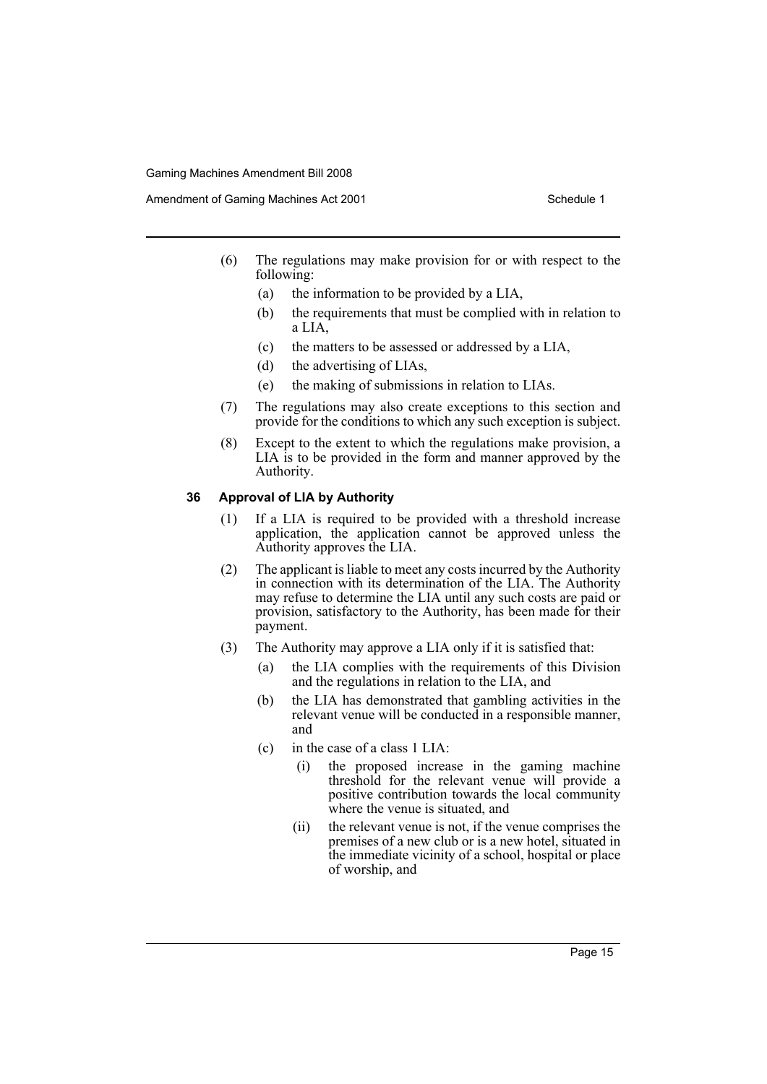Amendment of Gaming Machines Act 2001 Schedule 1

- (6) The regulations may make provision for or with respect to the following:
	- (a) the information to be provided by a LIA,
	- (b) the requirements that must be complied with in relation to a LIA,
	- (c) the matters to be assessed or addressed by a LIA,
	- (d) the advertising of LIAs,
	- (e) the making of submissions in relation to LIAs.
- (7) The regulations may also create exceptions to this section and provide for the conditions to which any such exception is subject.
- (8) Except to the extent to which the regulations make provision, a LIA is to be provided in the form and manner approved by the Authority.

### **36 Approval of LIA by Authority**

- (1) If a LIA is required to be provided with a threshold increase application, the application cannot be approved unless the Authority approves the LIA.
- (2) The applicant is liable to meet any costs incurred by the Authority in connection with its determination of the LIA. The Authority may refuse to determine the LIA until any such costs are paid or provision, satisfactory to the Authority, has been made for their payment.
- (3) The Authority may approve a LIA only if it is satisfied that:
	- (a) the LIA complies with the requirements of this Division and the regulations in relation to the LIA, and
	- (b) the LIA has demonstrated that gambling activities in the relevant venue will be conducted in a responsible manner, and
	- (c) in the case of a class 1 LIA:
		- (i) the proposed increase in the gaming machine threshold for the relevant venue will provide a positive contribution towards the local community where the venue is situated, and
		- (ii) the relevant venue is not, if the venue comprises the premises of a new club or is a new hotel, situated in the immediate vicinity of a school, hospital or place of worship, and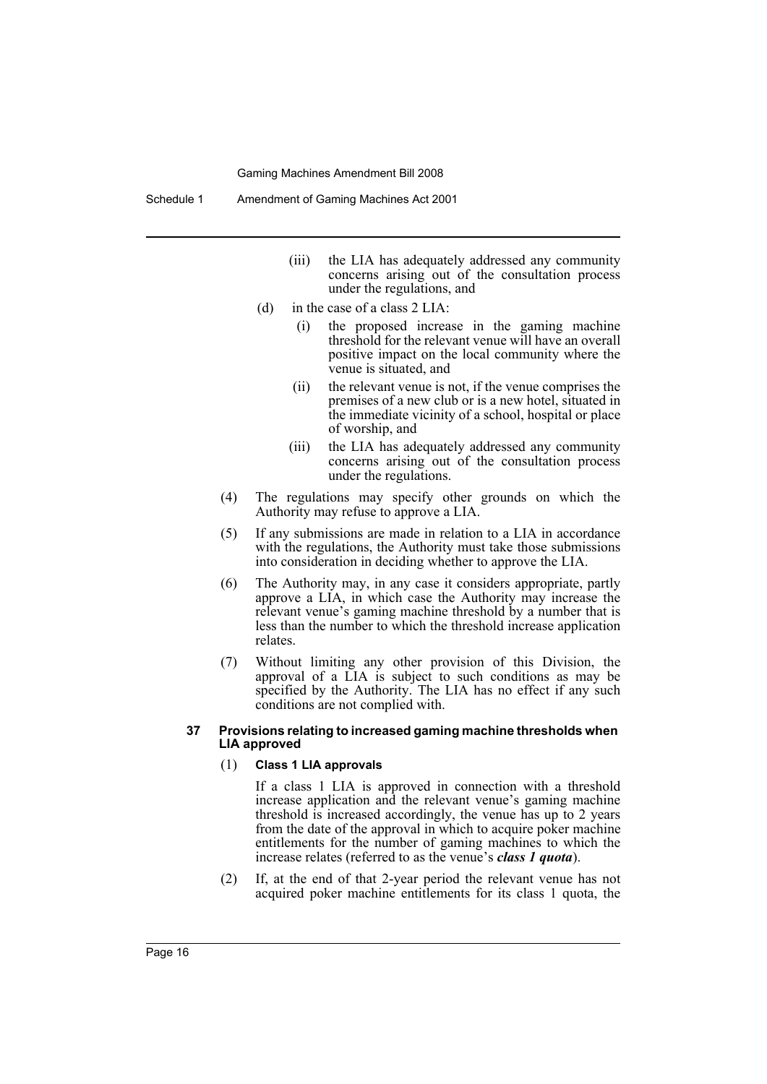- (iii) the LIA has adequately addressed any community concerns arising out of the consultation process under the regulations, and
- (d) in the case of a class 2 LIA:
	- (i) the proposed increase in the gaming machine threshold for the relevant venue will have an overall positive impact on the local community where the venue is situated, and
	- (ii) the relevant venue is not, if the venue comprises the premises of a new club or is a new hotel, situated in the immediate vicinity of a school, hospital or place of worship, and
	- (iii) the LIA has adequately addressed any community concerns arising out of the consultation process under the regulations.
- (4) The regulations may specify other grounds on which the Authority may refuse to approve a LIA.
- (5) If any submissions are made in relation to a LIA in accordance with the regulations, the Authority must take those submissions into consideration in deciding whether to approve the LIA.
- (6) The Authority may, in any case it considers appropriate, partly approve a LIA, in which case the Authority may increase the relevant venue's gaming machine threshold by a number that is less than the number to which the threshold increase application relates.
- (7) Without limiting any other provision of this Division, the approval of a LIA is subject to such conditions as may be specified by the Authority. The LIA has no effect if any such conditions are not complied with.

#### **37 Provisions relating to increased gaming machine thresholds when LIA approved**

#### (1) **Class 1 LIA approvals**

If a class 1 LIA is approved in connection with a threshold increase application and the relevant venue's gaming machine threshold is increased accordingly, the venue has up to 2 years from the date of the approval in which to acquire poker machine entitlements for the number of gaming machines to which the increase relates (referred to as the venue's *class 1 quota*).

(2) If, at the end of that 2-year period the relevant venue has not acquired poker machine entitlements for its class 1 quota, the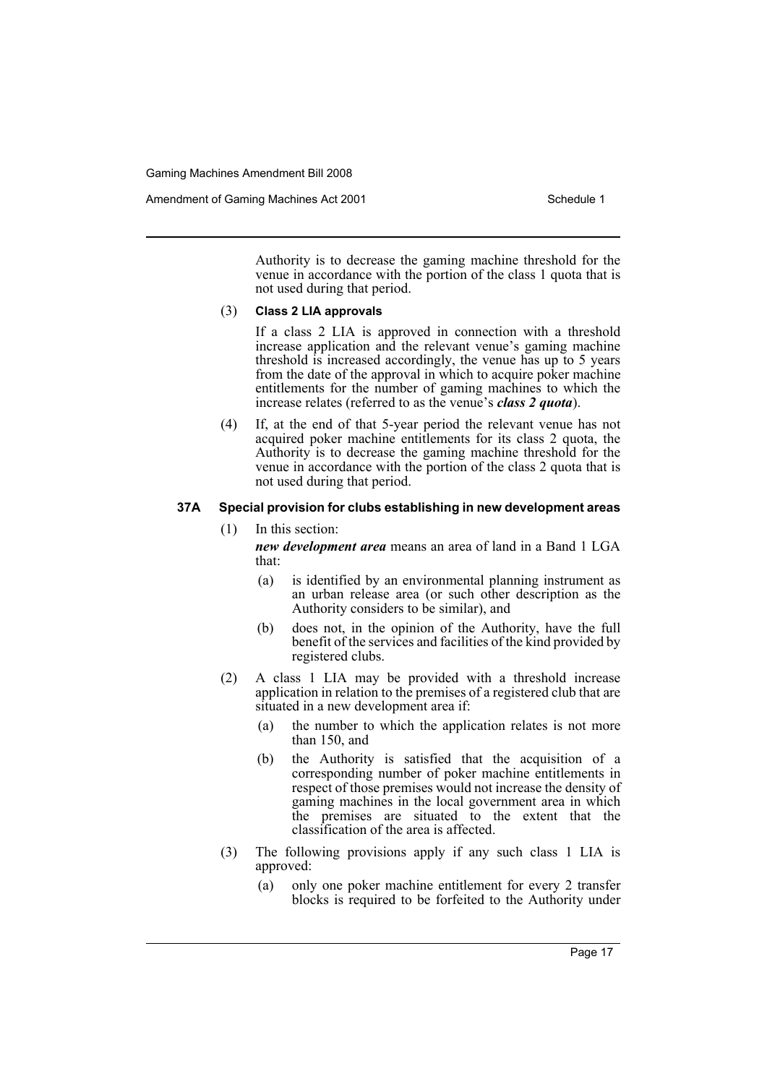Authority is to decrease the gaming machine threshold for the venue in accordance with the portion of the class 1 quota that is not used during that period.

#### (3) **Class 2 LIA approvals**

If a class 2 LIA is approved in connection with a threshold increase application and the relevant venue's gaming machine threshold is increased accordingly, the venue has up to 5 years from the date of the approval in which to acquire poker machine entitlements for the number of gaming machines to which the increase relates (referred to as the venue's *class 2 quota*).

(4) If, at the end of that 5-year period the relevant venue has not acquired poker machine entitlements for its class 2 quota, the Authority is to decrease the gaming machine threshold for the venue in accordance with the portion of the class 2 quota that is not used during that period.

### **37A Special provision for clubs establishing in new development areas**

(1) In this section:

*new development area* means an area of land in a Band 1 LGA that:

- (a) is identified by an environmental planning instrument as an urban release area (or such other description as the Authority considers to be similar), and
- (b) does not, in the opinion of the Authority, have the full benefit of the services and facilities of the kind provided by registered clubs.
- (2) A class 1 LIA may be provided with a threshold increase application in relation to the premises of a registered club that are situated in a new development area if:
	- (a) the number to which the application relates is not more than 150, and
	- (b) the Authority is satisfied that the acquisition of a corresponding number of poker machine entitlements in respect of those premises would not increase the density of gaming machines in the local government area in which the premises are situated to the extent that the classification of the area is affected.
- (3) The following provisions apply if any such class 1 LIA is approved:
	- (a) only one poker machine entitlement for every 2 transfer blocks is required to be forfeited to the Authority under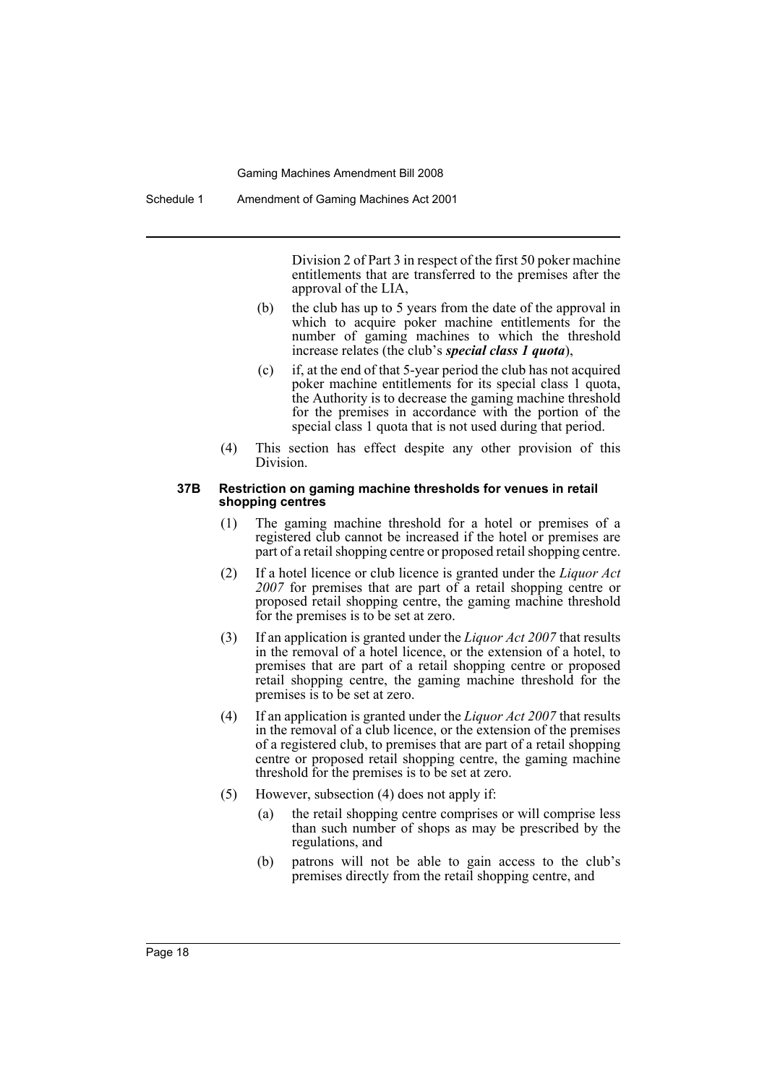Division 2 of Part 3 in respect of the first 50 poker machine entitlements that are transferred to the premises after the approval of the LIA,

- (b) the club has up to 5 years from the date of the approval in which to acquire poker machine entitlements for the number of gaming machines to which the threshold increase relates (the club's *special class 1 quota*),
- (c) if, at the end of that 5-year period the club has not acquired poker machine entitlements for its special class 1 quota, the Authority is to decrease the gaming machine threshold for the premises in accordance with the portion of the special class 1 quota that is not used during that period.
- (4) This section has effect despite any other provision of this Division.

#### **37B Restriction on gaming machine thresholds for venues in retail shopping centres**

- (1) The gaming machine threshold for a hotel or premises of a registered club cannot be increased if the hotel or premises are part of a retail shopping centre or proposed retail shopping centre.
- (2) If a hotel licence or club licence is granted under the *Liquor Act 2007* for premises that are part of a retail shopping centre or proposed retail shopping centre, the gaming machine threshold for the premises is to be set at zero.
- (3) If an application is granted under the *Liquor Act 2007* that results in the removal of a hotel licence, or the extension of a hotel, to premises that are part of a retail shopping centre or proposed retail shopping centre, the gaming machine threshold for the premises is to be set at zero.
- (4) If an application is granted under the *Liquor Act 2007* that results in the removal of a club licence, or the extension of the premises of a registered club, to premises that are part of a retail shopping centre or proposed retail shopping centre, the gaming machine threshold for the premises is to be set at zero.
- (5) However, subsection (4) does not apply if:
	- (a) the retail shopping centre comprises or will comprise less than such number of shops as may be prescribed by the regulations, and
	- (b) patrons will not be able to gain access to the club's premises directly from the retail shopping centre, and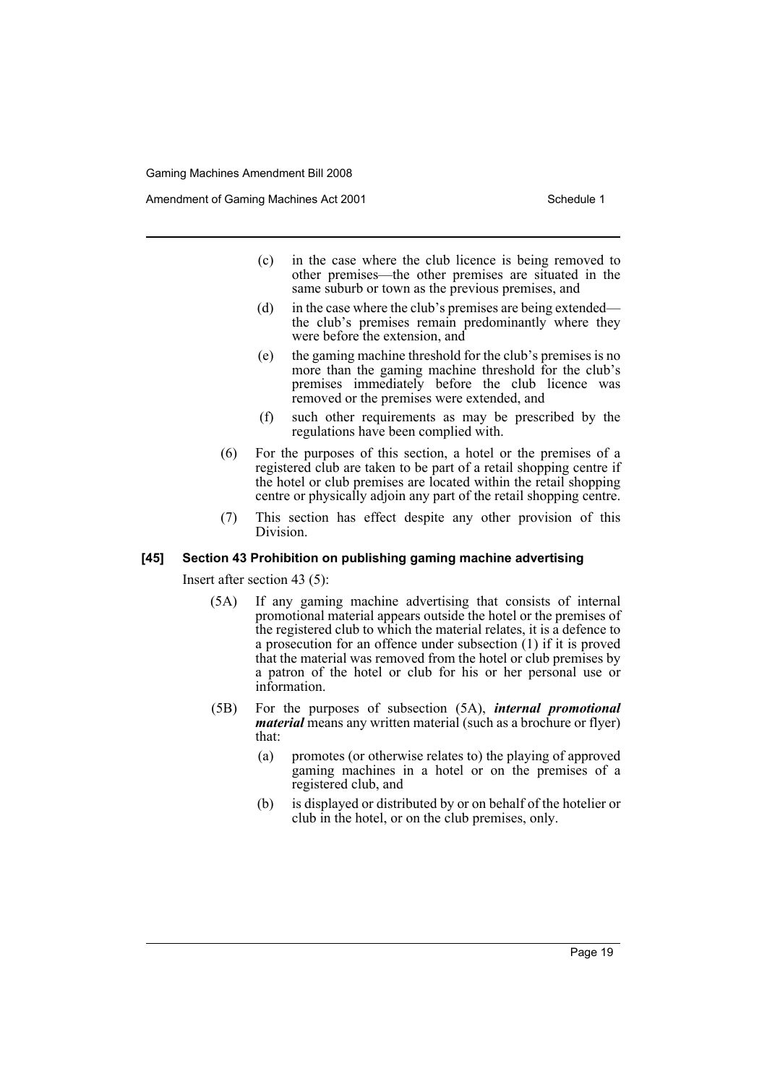Amendment of Gaming Machines Act 2001 Schedule 1

- (c) in the case where the club licence is being removed to other premises—the other premises are situated in the same suburb or town as the previous premises, and
- (d) in the case where the club's premises are being extended the club's premises remain predominantly where they were before the extension, and
- (e) the gaming machine threshold for the club's premises is no more than the gaming machine threshold for the club's premises immediately before the club licence was removed or the premises were extended, and
- (f) such other requirements as may be prescribed by the regulations have been complied with.
- (6) For the purposes of this section, a hotel or the premises of a registered club are taken to be part of a retail shopping centre if the hotel or club premises are located within the retail shopping centre or physically adjoin any part of the retail shopping centre.
- (7) This section has effect despite any other provision of this Division.

### **[45] Section 43 Prohibition on publishing gaming machine advertising**

Insert after section 43 (5):

- (5A) If any gaming machine advertising that consists of internal promotional material appears outside the hotel or the premises of the registered club to which the material relates, it is a defence to a prosecution for an offence under subsection (1) if it is proved that the material was removed from the hotel or club premises by a patron of the hotel or club for his or her personal use or information.
- (5B) For the purposes of subsection (5A), *internal promotional material* means any written material (such as a brochure or flyer) that:
	- (a) promotes (or otherwise relates to) the playing of approved gaming machines in a hotel or on the premises of a registered club, and
	- (b) is displayed or distributed by or on behalf of the hotelier or club in the hotel, or on the club premises, only.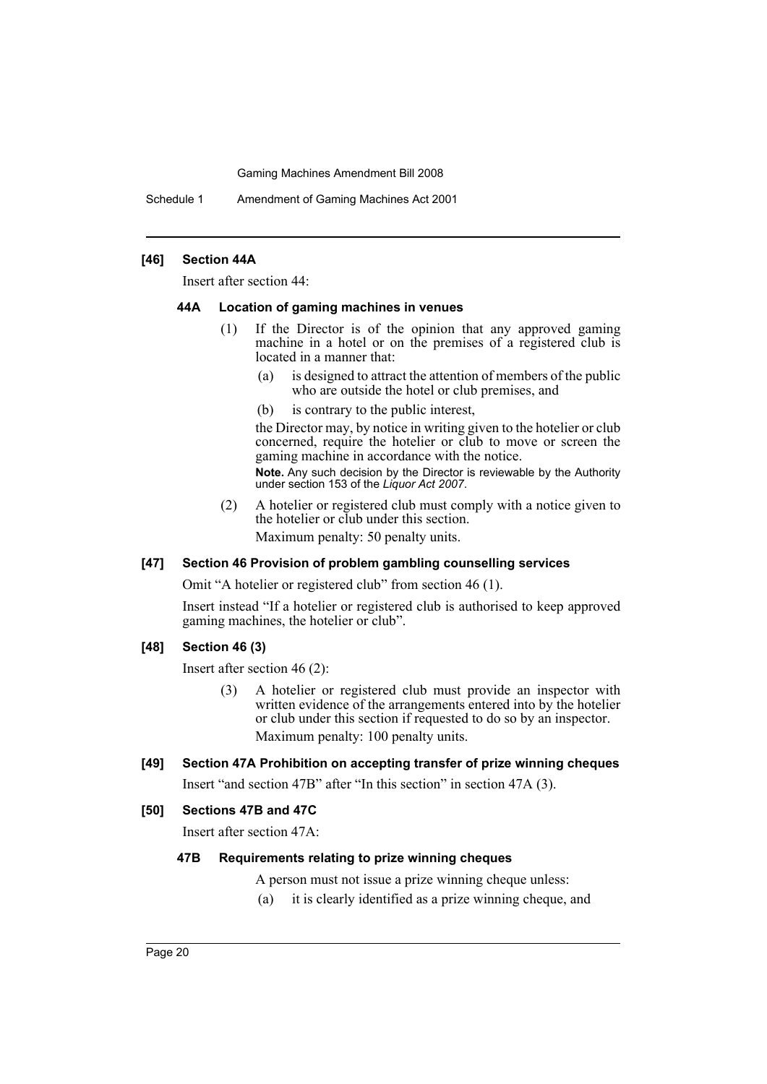Schedule 1 Amendment of Gaming Machines Act 2001

### **[46] Section 44A**

Insert after section 44:

#### **44A Location of gaming machines in venues**

- (1) If the Director is of the opinion that any approved gaming machine in a hotel or on the premises of a registered club is located in a manner that:
	- (a) is designed to attract the attention of members of the public who are outside the hotel or club premises, and
	- (b) is contrary to the public interest,

the Director may, by notice in writing given to the hotelier or club concerned, require the hotelier or club to move or screen the gaming machine in accordance with the notice.

**Note.** Any such decision by the Director is reviewable by the Authority under section 153 of the *Liquor Act 2007*.

(2) A hotelier or registered club must comply with a notice given to the hotelier or club under this section. Maximum penalty: 50 penalty units.

### **[47] Section 46 Provision of problem gambling counselling services**

Omit "A hotelier or registered club" from section 46 (1).

Insert instead "If a hotelier or registered club is authorised to keep approved gaming machines, the hotelier or club".

### **[48] Section 46 (3)**

Insert after section 46 (2):

(3) A hotelier or registered club must provide an inspector with written evidence of the arrangements entered into by the hotelier or club under this section if requested to do so by an inspector. Maximum penalty: 100 penalty units.

### **[49] Section 47A Prohibition on accepting transfer of prize winning cheques**

Insert "and section 47B" after "In this section" in section 47A (3).

### **[50] Sections 47B and 47C**

Insert after section 47A:

### **47B Requirements relating to prize winning cheques**

- A person must not issue a prize winning cheque unless:
- (a) it is clearly identified as a prize winning cheque, and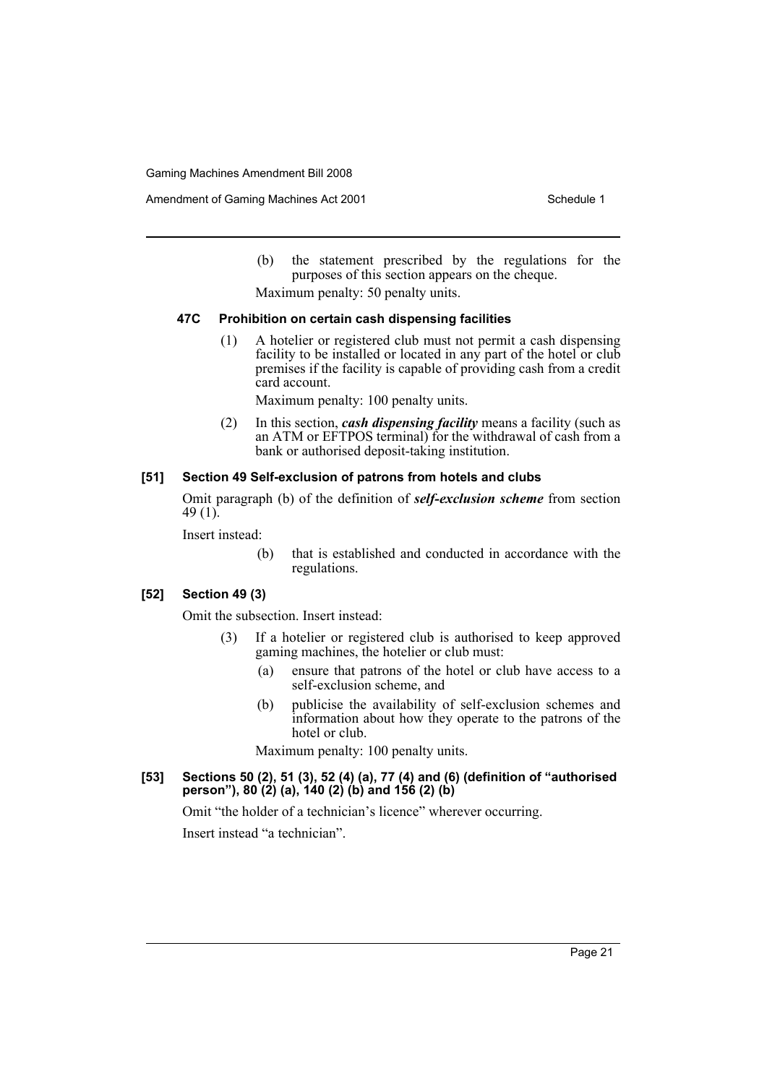Amendment of Gaming Machines Act 2001 Schedule 1

- (b) the statement prescribed by the regulations for the purposes of this section appears on the cheque.
- Maximum penalty: 50 penalty units.

### **47C Prohibition on certain cash dispensing facilities**

(1) A hotelier or registered club must not permit a cash dispensing facility to be installed or located in any part of the hotel or club premises if the facility is capable of providing cash from a credit card account.

Maximum penalty: 100 penalty units.

(2) In this section, *cash dispensing facility* means a facility (such as an ATM or EFTPOS terminal) for the withdrawal of cash from a bank or authorised deposit-taking institution.

### **[51] Section 49 Self-exclusion of patrons from hotels and clubs**

Omit paragraph (b) of the definition of *self-exclusion scheme* from section 49 $(1)$ .

Insert instead:

(b) that is established and conducted in accordance with the regulations.

### **[52] Section 49 (3)**

Omit the subsection. Insert instead:

- (3) If a hotelier or registered club is authorised to keep approved gaming machines, the hotelier or club must:
	- (a) ensure that patrons of the hotel or club have access to a self-exclusion scheme, and
	- (b) publicise the availability of self-exclusion schemes and information about how they operate to the patrons of the hotel or club.

Maximum penalty: 100 penalty units.

**[53] Sections 50 (2), 51 (3), 52 (4) (a), 77 (4) and (6) (definition of "authorised person"), 80 (2) (a), 140 (2) (b) and 156 (2) (b)**

Omit "the holder of a technician's licence" wherever occurring.

Insert instead "a technician".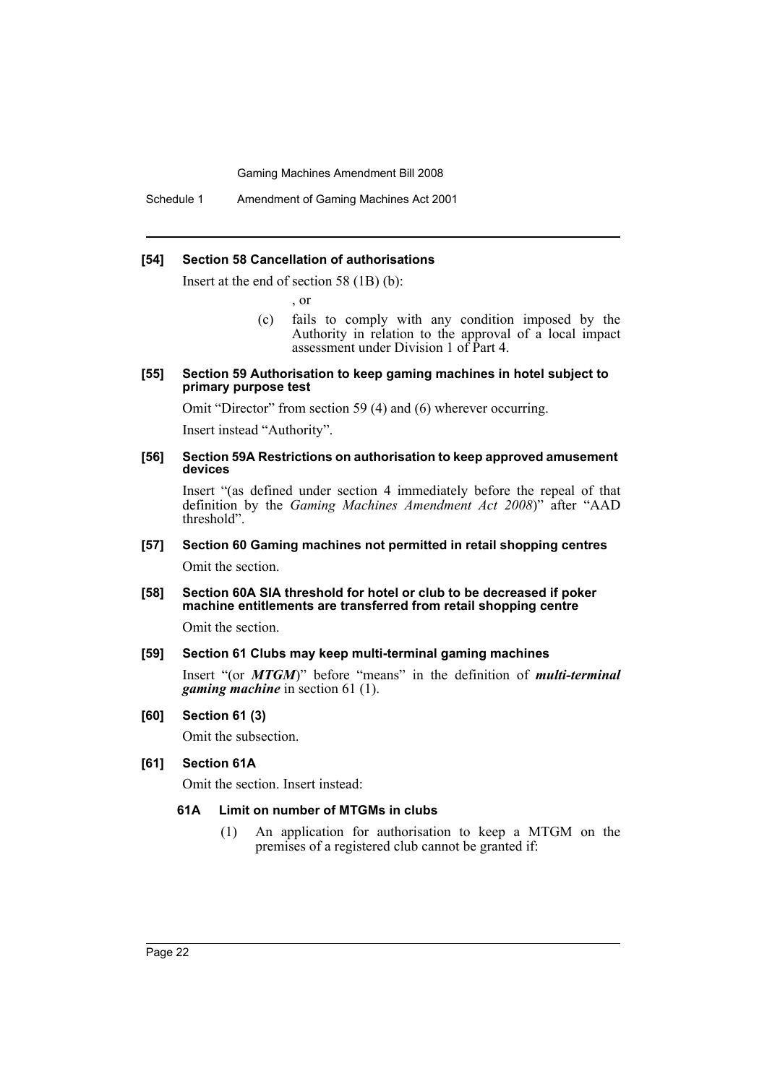Schedule 1 Amendment of Gaming Machines Act 2001

#### **[54] Section 58 Cancellation of authorisations**

Insert at the end of section 58 (1B) (b):

, or

(c) fails to comply with any condition imposed by the Authority in relation to the approval of a local impact assessment under Division 1 of Part 4.

#### **[55] Section 59 Authorisation to keep gaming machines in hotel subject to primary purpose test**

Omit "Director" from section 59 (4) and (6) wherever occurring.

Insert instead "Authority".

### **[56] Section 59A Restrictions on authorisation to keep approved amusement devices**

Insert "(as defined under section 4 immediately before the repeal of that definition by the *Gaming Machines Amendment Act 2008*)" after "AAD threshold".

### **[57] Section 60 Gaming machines not permitted in retail shopping centres** Omit the section.

### **[58] Section 60A SIA threshold for hotel or club to be decreased if poker machine entitlements are transferred from retail shopping centre**

Omit the section.

### **[59] Section 61 Clubs may keep multi-terminal gaming machines**

Insert "(or *MTGM*)" before "means" in the definition of *multi-terminal gaming machine* in section 61 (1).

### **[60] Section 61 (3)**

Omit the subsection.

### **[61] Section 61A**

Omit the section. Insert instead:

### **61A Limit on number of MTGMs in clubs**

(1) An application for authorisation to keep a MTGM on the premises of a registered club cannot be granted if: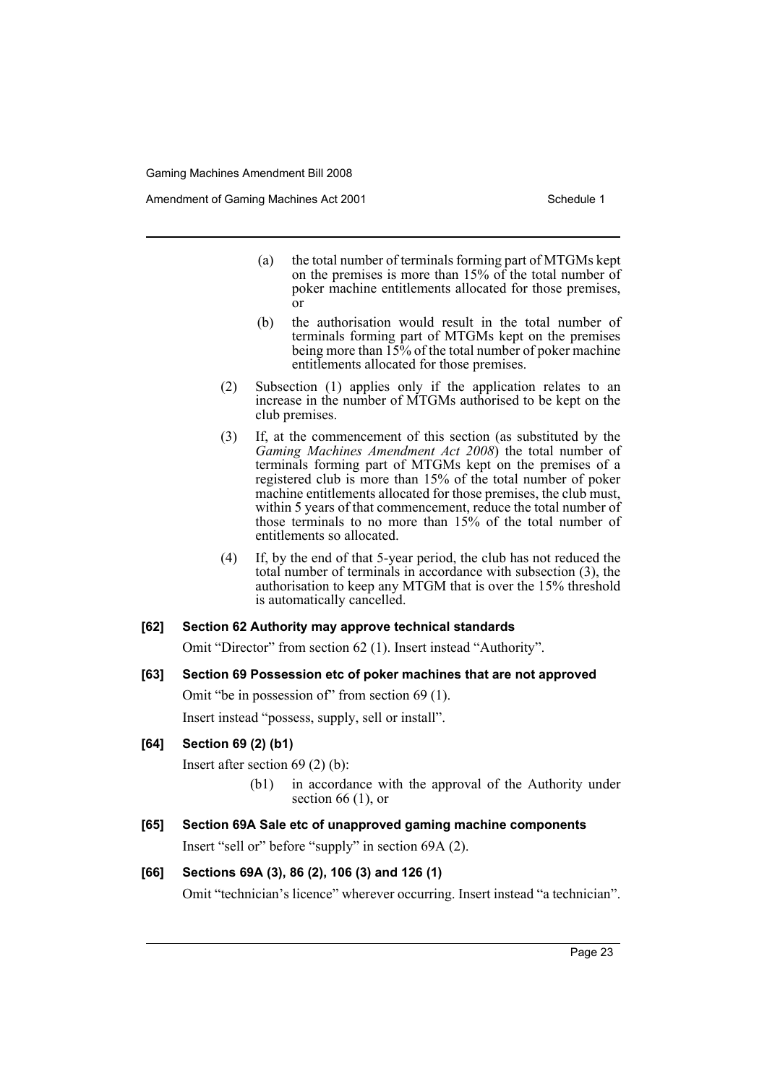Amendment of Gaming Machines Act 2001 Schedule 1

- (a) the total number of terminals forming part of MTGMs kept on the premises is more than 15% of the total number of poker machine entitlements allocated for those premises, or
- (b) the authorisation would result in the total number of terminals forming part of MTGMs kept on the premises being more than 15% of the total number of poker machine entitlements allocated for those premises.
- (2) Subsection (1) applies only if the application relates to an increase in the number of MTGMs authorised to be kept on the club premises.
- (3) If, at the commencement of this section (as substituted by the *Gaming Machines Amendment Act 2008*) the total number of terminals forming part of MTGMs kept on the premises of a registered club is more than 15% of the total number of poker machine entitlements allocated for those premises, the club must, within 5 years of that commencement, reduce the total number of those terminals to no more than 15% of the total number of entitlements so allocated.
- (4) If, by the end of that 5-year period, the club has not reduced the total number of terminals in accordance with subsection (3), the authorisation to keep any MTGM that is over the 15% threshold is automatically cancelled.

### **[62] Section 62 Authority may approve technical standards**

Omit "Director" from section 62 (1). Insert instead "Authority".

**[63] Section 69 Possession etc of poker machines that are not approved**

Omit "be in possession of" from section 69 (1).

Insert instead "possess, supply, sell or install".

### **[64] Section 69 (2) (b1)**

Insert after section 69 (2) (b):

- (b1) in accordance with the approval of the Authority under section  $66$  (1), or
- **[65] Section 69A Sale etc of unapproved gaming machine components** Insert "sell or" before "supply" in section 69A (2).

### **[66] Sections 69A (3), 86 (2), 106 (3) and 126 (1)**

Omit "technician's licence" wherever occurring. Insert instead "a technician".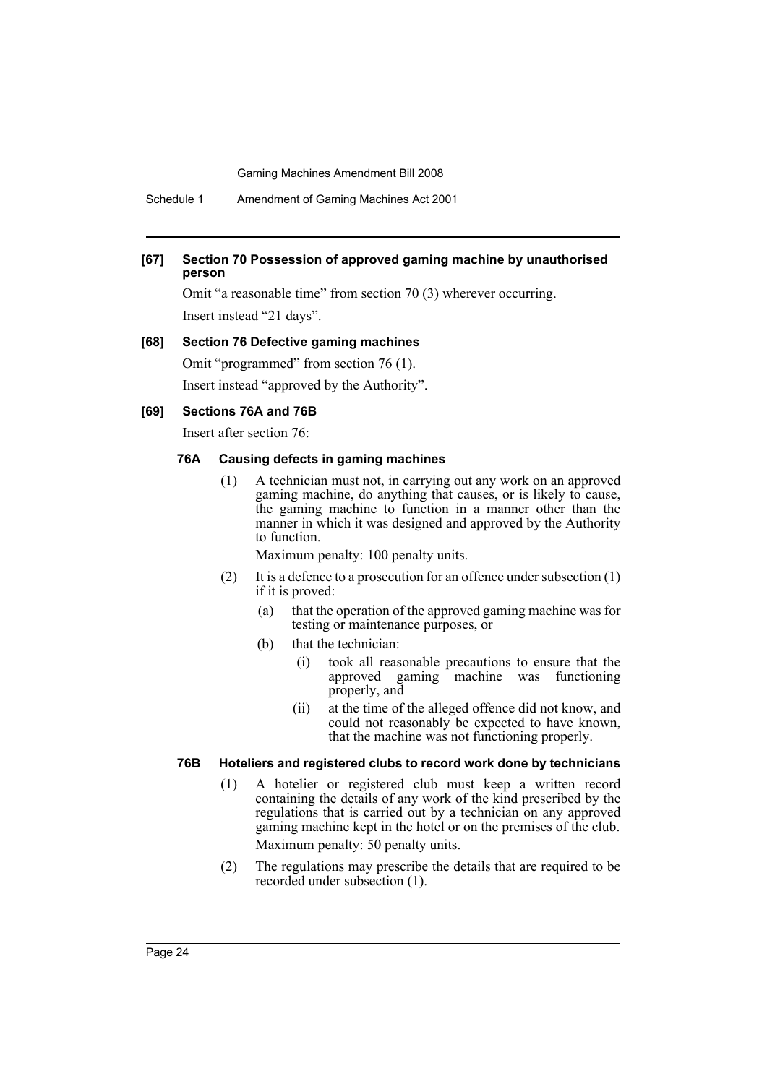Schedule 1 Amendment of Gaming Machines Act 2001

### **[67] Section 70 Possession of approved gaming machine by unauthorised person**

Omit "a reasonable time" from section 70 (3) wherever occurring. Insert instead "21 days".

#### **[68] Section 76 Defective gaming machines**

Omit "programmed" from section 76 (1).

Insert instead "approved by the Authority".

#### **[69] Sections 76A and 76B**

Insert after section 76:

### **76A Causing defects in gaming machines**

(1) A technician must not, in carrying out any work on an approved gaming machine, do anything that causes, or is likely to cause, the gaming machine to function in a manner other than the manner in which it was designed and approved by the Authority to function.

Maximum penalty: 100 penalty units.

- (2) It is a defence to a prosecution for an offence under subsection (1) if it is proved:
	- (a) that the operation of the approved gaming machine was for testing or maintenance purposes, or
	- (b) that the technician:
		- (i) took all reasonable precautions to ensure that the approved gaming machine was functioning properly, and
		- (ii) at the time of the alleged offence did not know, and could not reasonably be expected to have known, that the machine was not functioning properly.

### **76B Hoteliers and registered clubs to record work done by technicians**

- (1) A hotelier or registered club must keep a written record containing the details of any work of the kind prescribed by the regulations that is carried out by a technician on any approved gaming machine kept in the hotel or on the premises of the club. Maximum penalty: 50 penalty units.
- (2) The regulations may prescribe the details that are required to be recorded under subsection (1).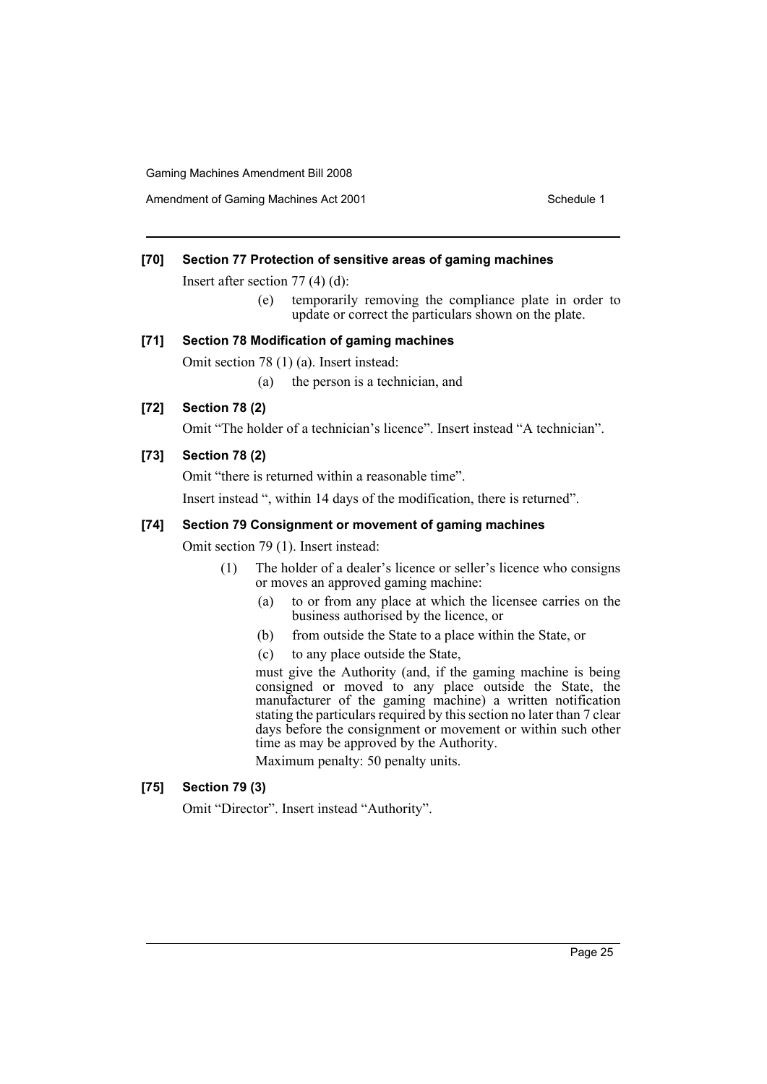Amendment of Gaming Machines Act 2001 Schedule 1

### **[70] Section 77 Protection of sensitive areas of gaming machines**

Insert after section 77 (4) (d):

(e) temporarily removing the compliance plate in order to update or correct the particulars shown on the plate.

### **[71] Section 78 Modification of gaming machines**

Omit section 78 (1) (a). Insert instead:

(a) the person is a technician, and

### **[72] Section 78 (2)**

Omit "The holder of a technician's licence". Insert instead "A technician".

### **[73] Section 78 (2)**

Omit "there is returned within a reasonable time".

Insert instead ", within 14 days of the modification, there is returned".

### **[74] Section 79 Consignment or movement of gaming machines**

Omit section 79 (1). Insert instead:

- (1) The holder of a dealer's licence or seller's licence who consigns or moves an approved gaming machine:
	- (a) to or from any place at which the licensee carries on the business authorised by the licence, or
	- (b) from outside the State to a place within the State, or
	- (c) to any place outside the State,

must give the Authority (and, if the gaming machine is being consigned or moved to any place outside the State, the manufacturer of the gaming machine) a written notification stating the particulars required by this section no later than 7 clear days before the consignment or movement or within such other time as may be approved by the Authority.

Maximum penalty: 50 penalty units.

### **[75] Section 79 (3)**

Omit "Director". Insert instead "Authority".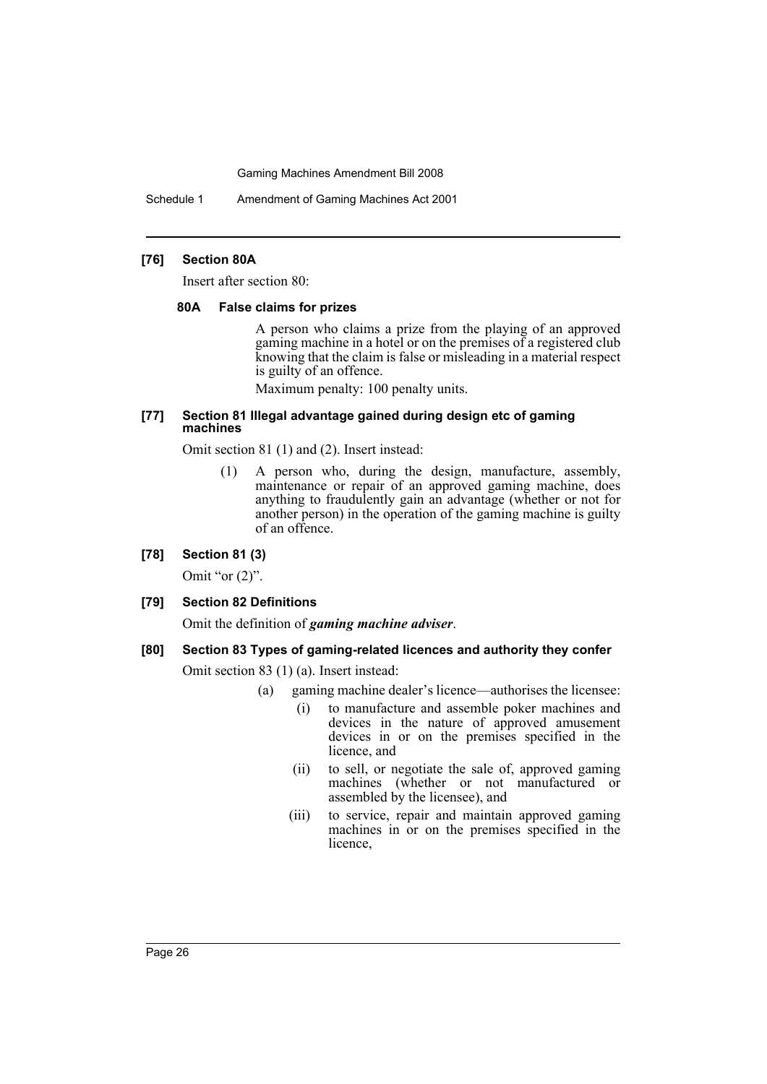Schedule 1 Amendment of Gaming Machines Act 2001

### **[76] Section 80A**

Insert after section 80:

#### **80A False claims for prizes**

A person who claims a prize from the playing of an approved gaming machine in a hotel or on the premises of a registered club knowing that the claim is false or misleading in a material respect is guilty of an offence.

Maximum penalty: 100 penalty units.

#### **[77] Section 81 Illegal advantage gained during design etc of gaming machines**

Omit section 81 (1) and (2). Insert instead:

(1) A person who, during the design, manufacture, assembly, maintenance or repair of an approved gaming machine, does anything to fraudulently gain an advantage (whether or not for another person) in the operation of the gaming machine is guilty of an offence.

### **[78] Section 81 (3)**

Omit "or  $(2)$ ".

### **[79] Section 82 Definitions**

Omit the definition of *gaming machine adviser*.

### **[80] Section 83 Types of gaming-related licences and authority they confer**

Omit section 83 (1) (a). Insert instead:

- (a) gaming machine dealer's licence—authorises the licensee:
	- (i) to manufacture and assemble poker machines and devices in the nature of approved amusement devices in or on the premises specified in the licence, and
	- (ii) to sell, or negotiate the sale of, approved gaming machines (whether or not manufactured or assembled by the licensee), and
	- (iii) to service, repair and maintain approved gaming machines in or on the premises specified in the licence,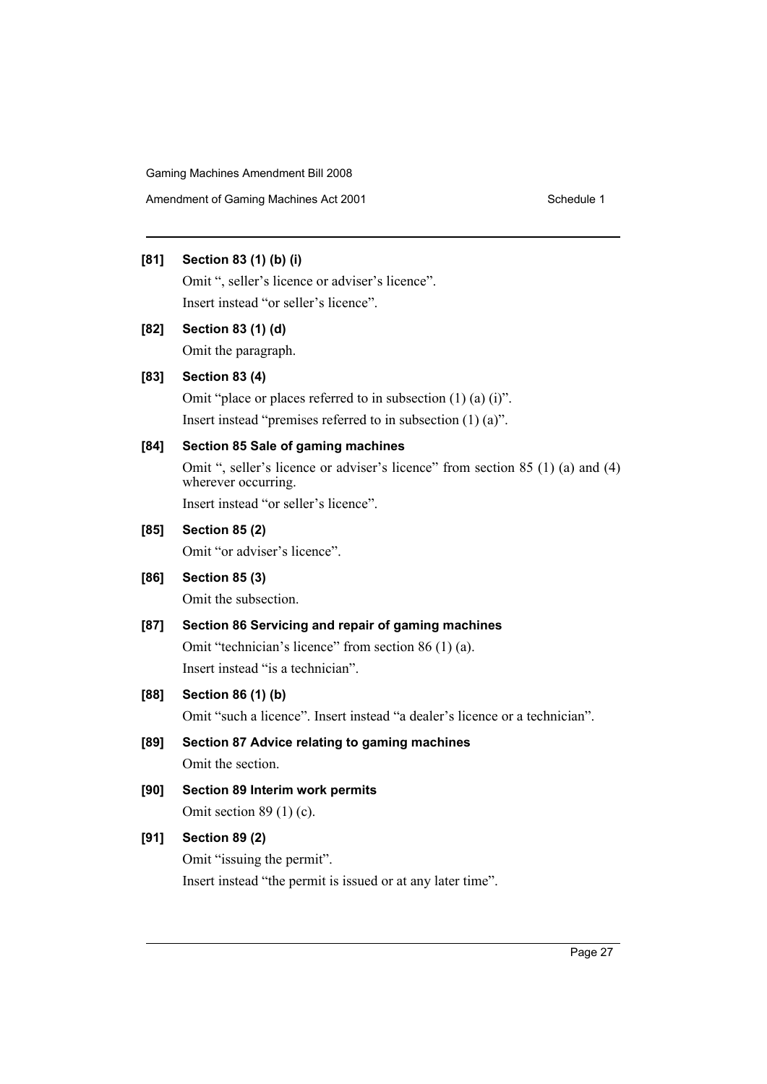Amendment of Gaming Machines Act 2001 Schedule 1

### **[81] Section 83 (1) (b) (i)**

Omit ", seller's licence or adviser's licence". Insert instead "or seller's licence".

**[82] Section 83 (1) (d)**

Omit the paragraph.

### **[83] Section 83 (4)**

Omit "place or places referred to in subsection (1) (a) (i)". Insert instead "premises referred to in subsection (1) (a)".

### **[84] Section 85 Sale of gaming machines**

Omit ", seller's licence or adviser's licence" from section 85 (1) (a) and (4) wherever occurring.

Insert instead "or seller's licence".

### **[85] Section 85 (2)**

Omit "or adviser's licence".

### **[86] Section 85 (3)**

Omit the subsection.

### **[87] Section 86 Servicing and repair of gaming machines**

Omit "technician's licence" from section 86 (1) (a). Insert instead "is a technician".

### **[88] Section 86 (1) (b)**

Omit "such a licence". Insert instead "a dealer's licence or a technician".

- **[89] Section 87 Advice relating to gaming machines** Omit the section.
- **[90] Section 89 Interim work permits**

Omit section 89 (1) (c).

### **[91] Section 89 (2)**

Omit "issuing the permit". Insert instead "the permit is issued or at any later time".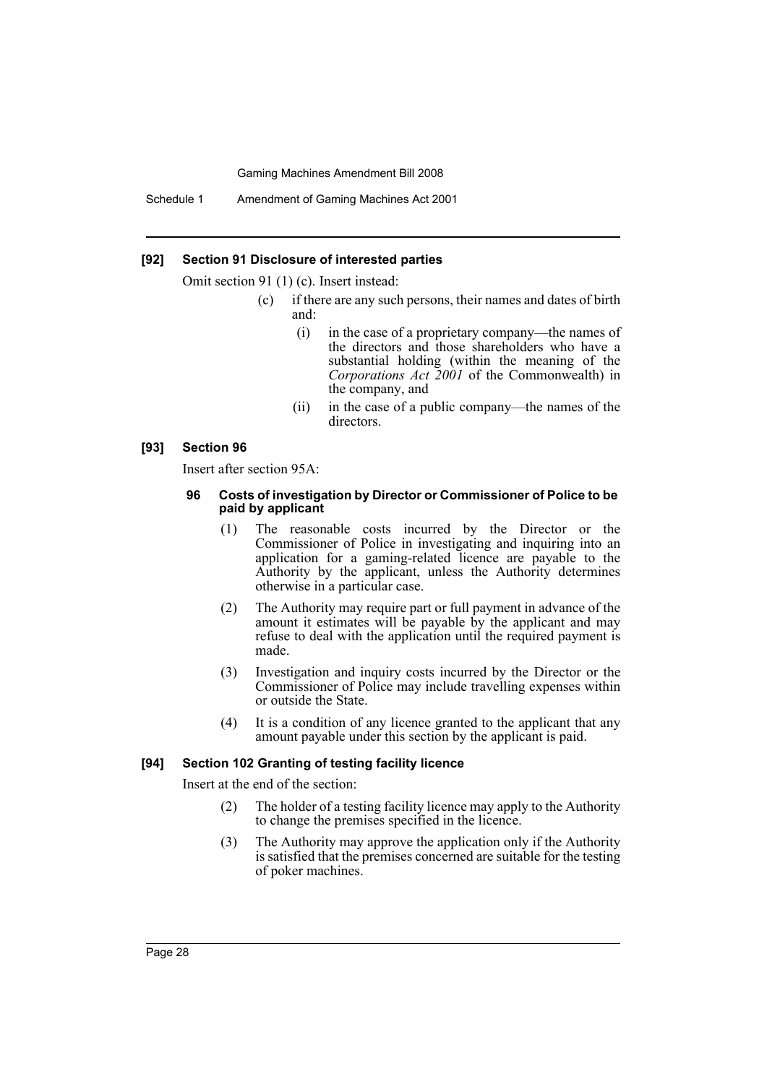Schedule 1 Amendment of Gaming Machines Act 2001

### **[92] Section 91 Disclosure of interested parties**

Omit section 91 (1) (c). Insert instead:

- (c) if there are any such persons, their names and dates of birth and:
	- (i) in the case of a proprietary company—the names of the directors and those shareholders who have a substantial holding (within the meaning of the *Corporations Act 2001* of the Commonwealth) in the company, and
	- (ii) in the case of a public company—the names of the directors.

#### **[93] Section 96**

Insert after section 95A:

#### **96 Costs of investigation by Director or Commissioner of Police to be paid by applicant**

- (1) The reasonable costs incurred by the Director or the Commissioner of Police in investigating and inquiring into an application for a gaming-related licence are payable to the Authority by the applicant, unless the Authority determines otherwise in a particular case.
- (2) The Authority may require part or full payment in advance of the amount it estimates will be payable by the applicant and may refuse to deal with the application until the required payment is made.
- (3) Investigation and inquiry costs incurred by the Director or the Commissioner of Police may include travelling expenses within or outside the State.
- (4) It is a condition of any licence granted to the applicant that any amount payable under this section by the applicant is paid.

### **[94] Section 102 Granting of testing facility licence**

Insert at the end of the section:

- (2) The holder of a testing facility licence may apply to the Authority to change the premises specified in the licence.
- (3) The Authority may approve the application only if the Authority is satisfied that the premises concerned are suitable for the testing of poker machines.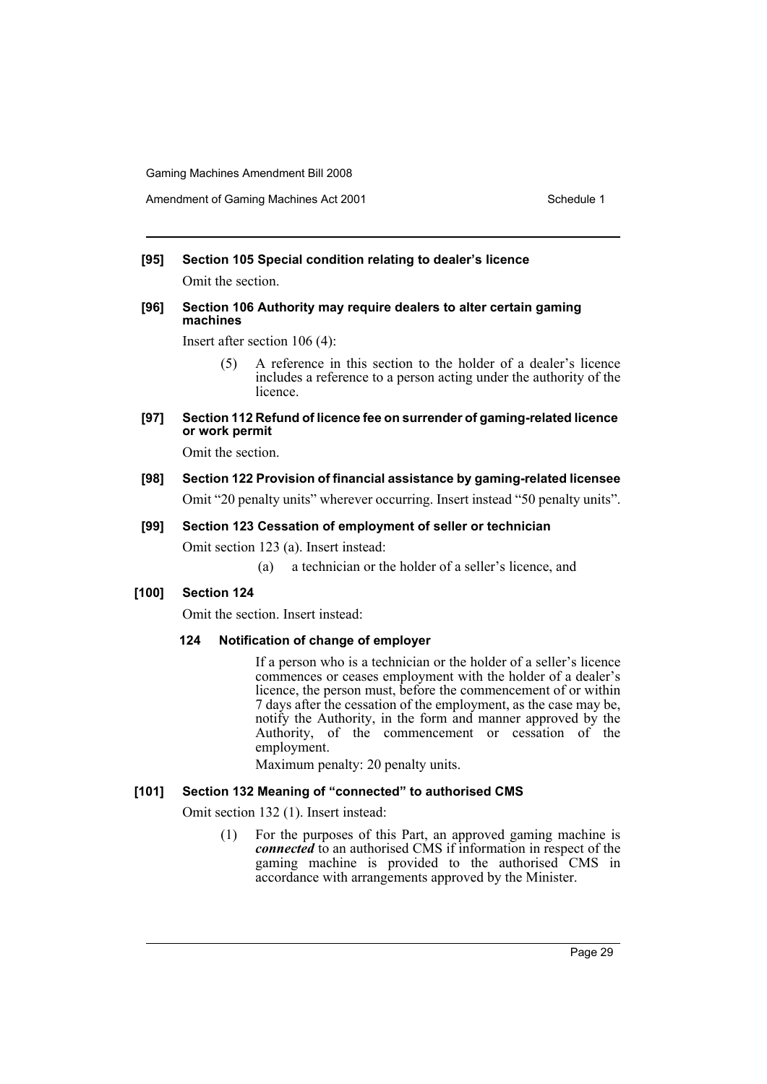## **[95] Section 105 Special condition relating to dealer's licence**

Omit the section.

### **[96] Section 106 Authority may require dealers to alter certain gaming machines**

Insert after section 106 (4):

(5) A reference in this section to the holder of a dealer's licence includes a reference to a person acting under the authority of the licence.

### **[97] Section 112 Refund of licence fee on surrender of gaming-related licence or work permit**

Omit the section.

### **[98] Section 122 Provision of financial assistance by gaming-related licensee**

Omit "20 penalty units" wherever occurring. Insert instead "50 penalty units".

### **[99] Section 123 Cessation of employment of seller or technician**

Omit section 123 (a). Insert instead:

(a) a technician or the holder of a seller's licence, and

### **[100] Section 124**

Omit the section. Insert instead:

### **124 Notification of change of employer**

If a person who is a technician or the holder of a seller's licence commences or ceases employment with the holder of a dealer's licence, the person must, before the commencement of or within 7 days after the cessation of the employment, as the case may be, notify the Authority, in the form and manner approved by the Authority, of the commencement or cessation of the employment.

Maximum penalty: 20 penalty units.

### **[101] Section 132 Meaning of "connected" to authorised CMS**

Omit section 132 (1). Insert instead:

(1) For the purposes of this Part, an approved gaming machine is *connected* to an authorised CMS if information in respect of the gaming machine is provided to the authorised CMS in accordance with arrangements approved by the Minister.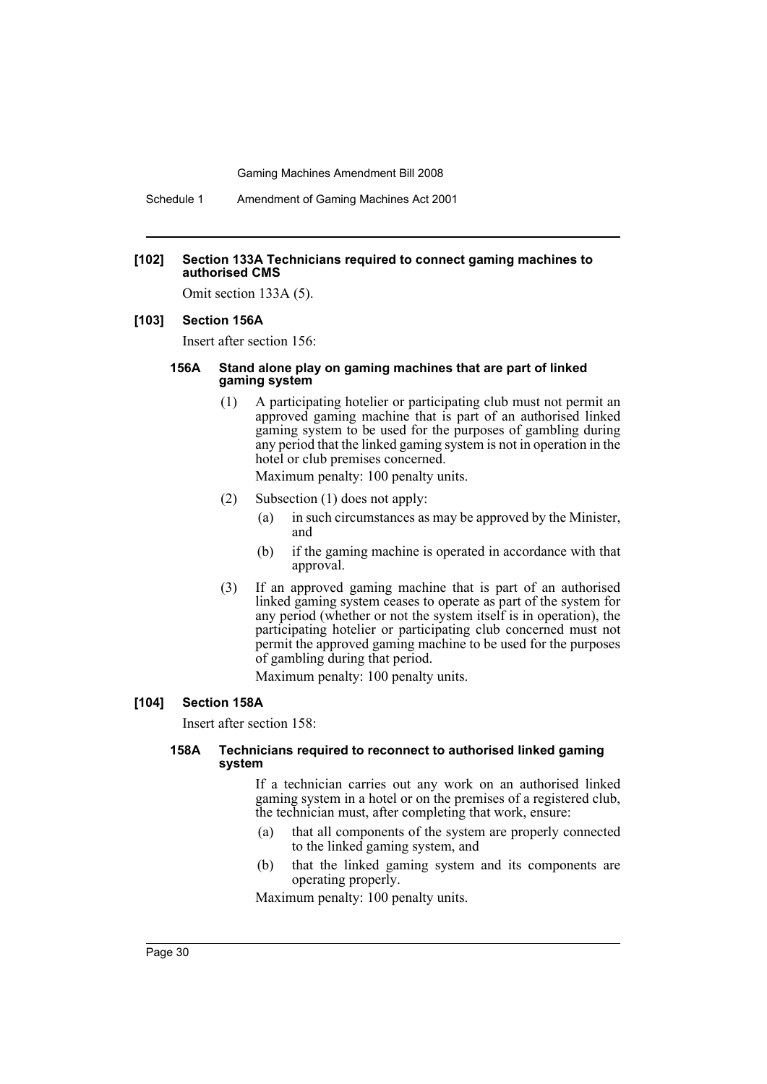Schedule 1 Amendment of Gaming Machines Act 2001

#### **[102] Section 133A Technicians required to connect gaming machines to authorised CMS**

Omit section 133A (5).

### **[103] Section 156A**

Insert after section 156:

### **156A Stand alone play on gaming machines that are part of linked gaming system**

(1) A participating hotelier or participating club must not permit an approved gaming machine that is part of an authorised linked gaming system to be used for the purposes of gambling during any period that the linked gaming system is not in operation in the hotel or club premises concerned.

Maximum penalty: 100 penalty units.

- (2) Subsection (1) does not apply:
	- (a) in such circumstances as may be approved by the Minister, and
	- (b) if the gaming machine is operated in accordance with that approval.
- (3) If an approved gaming machine that is part of an authorised linked gaming system ceases to operate as part of the system for any period (whether or not the system itself is in operation), the participating hotelier or participating club concerned must not permit the approved gaming machine to be used for the purposes of gambling during that period.

Maximum penalty: 100 penalty units.

### **[104] Section 158A**

Insert after section 158:

### **158A Technicians required to reconnect to authorised linked gaming system**

If a technician carries out any work on an authorised linked gaming system in a hotel or on the premises of a registered club, the technician must, after completing that work, ensure:

- (a) that all components of the system are properly connected to the linked gaming system, and
- (b) that the linked gaming system and its components are operating properly.

Maximum penalty: 100 penalty units.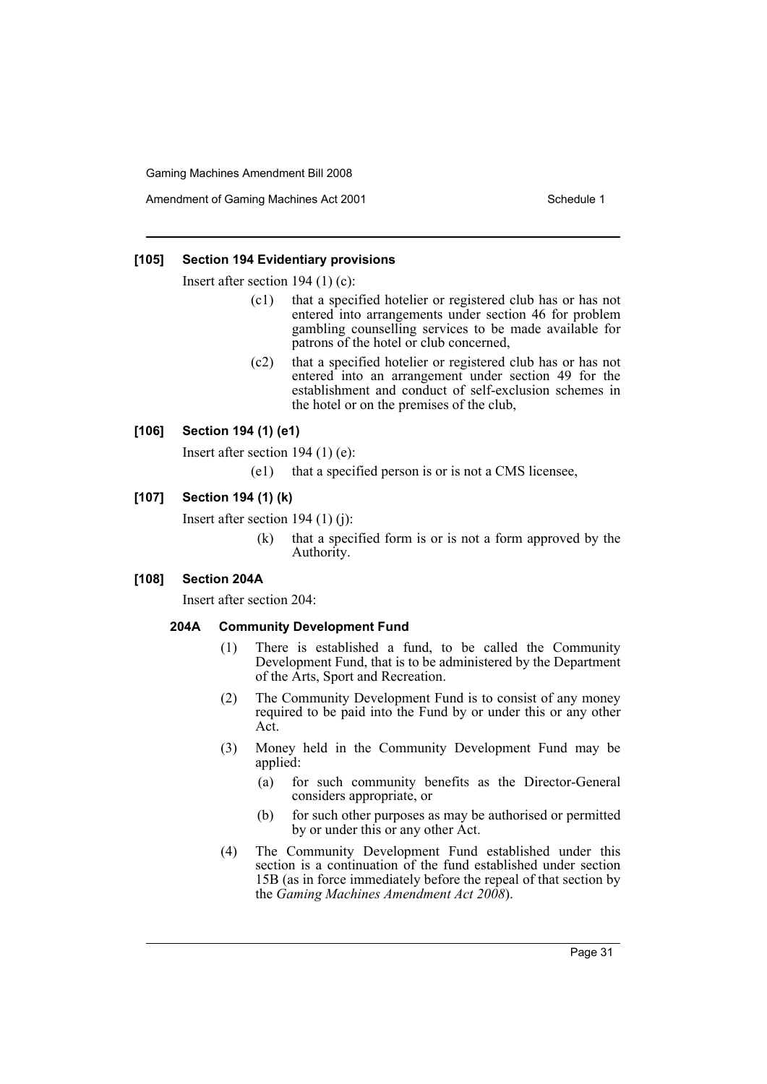Amendment of Gaming Machines Act 2001 Schedule 1

### **[105] Section 194 Evidentiary provisions**

Insert after section 194 (1) (c):

- (c1) that a specified hotelier or registered club has or has not entered into arrangements under section 46 for problem gambling counselling services to be made available for patrons of the hotel or club concerned,
- (c2) that a specified hotelier or registered club has or has not entered into an arrangement under section 49 for the establishment and conduct of self-exclusion schemes in the hotel or on the premises of the club,

### **[106] Section 194 (1) (e1)**

Insert after section 194 (1) (e):

(e1) that a specified person is or is not a CMS licensee,

### **[107] Section 194 (1) (k)**

Insert after section 194 (1) (j):

(k) that a specified form is or is not a form approved by the Authority.

### **[108] Section 204A**

Insert after section 204:

#### **204A Community Development Fund**

- (1) There is established a fund, to be called the Community Development Fund, that is to be administered by the Department of the Arts, Sport and Recreation.
- (2) The Community Development Fund is to consist of any money required to be paid into the Fund by or under this or any other Act.
- (3) Money held in the Community Development Fund may be applied:
	- (a) for such community benefits as the Director-General considers appropriate, or
	- (b) for such other purposes as may be authorised or permitted by or under this or any other Act.
- (4) The Community Development Fund established under this section is a continuation of the fund established under section 15B (as in force immediately before the repeal of that section by the *Gaming Machines Amendment Act 2008*).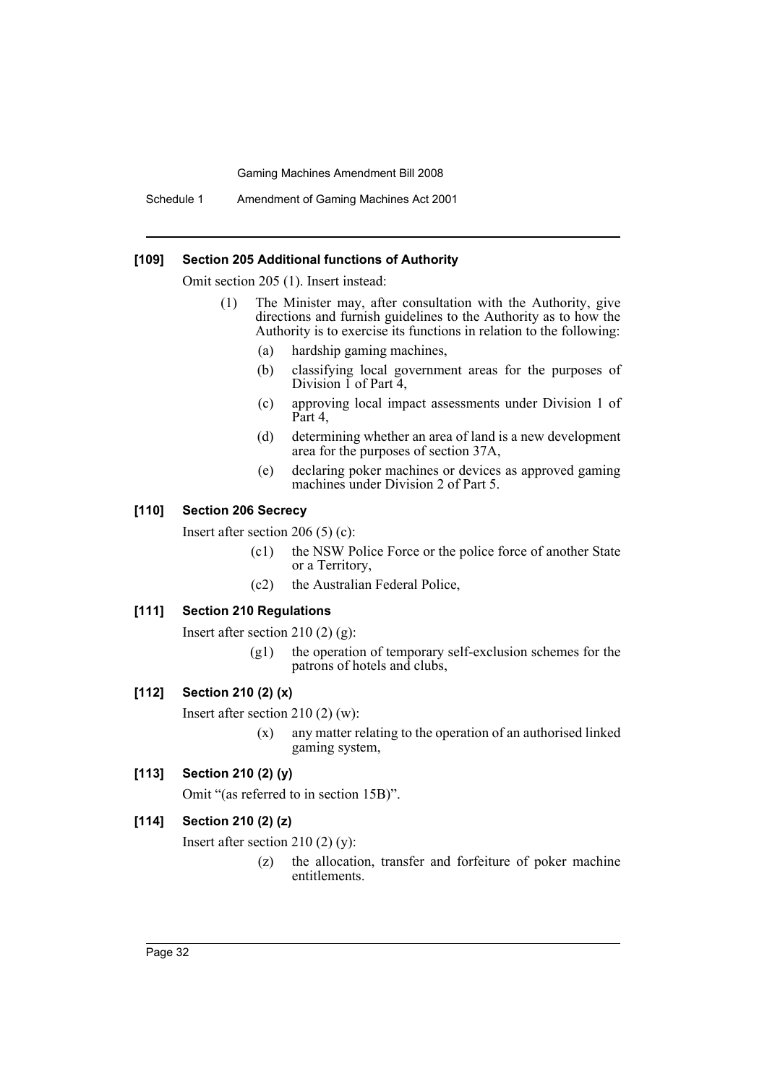Schedule 1 Amendment of Gaming Machines Act 2001

### **[109] Section 205 Additional functions of Authority**

Omit section 205 (1). Insert instead:

- (1) The Minister may, after consultation with the Authority, give directions and furnish guidelines to the Authority as to how the Authority is to exercise its functions in relation to the following:
	- (a) hardship gaming machines,
	- (b) classifying local government areas for the purposes of Division 1 of Part 4,
	- (c) approving local impact assessments under Division 1 of Part 4,
	- (d) determining whether an area of land is a new development area for the purposes of section 37A,
	- (e) declaring poker machines or devices as approved gaming machines under Division 2 of Part 5.

#### **[110] Section 206 Secrecy**

Insert after section 206 (5) (c):

- (c1) the NSW Police Force or the police force of another State or a Territory,
- (c2) the Australian Federal Police,

### **[111] Section 210 Regulations**

Insert after section 210  $(2)$   $(g)$ :

(g1) the operation of temporary self-exclusion schemes for the patrons of hotels and clubs,

#### **[112] Section 210 (2) (x)**

Insert after section 210 (2) (w):

(x) any matter relating to the operation of an authorised linked gaming system,

### **[113] Section 210 (2) (y)**

Omit "(as referred to in section 15B)".

### **[114] Section 210 (2) (z)**

Insert after section 210 (2) (y):

(z) the allocation, transfer and forfeiture of poker machine entitlements.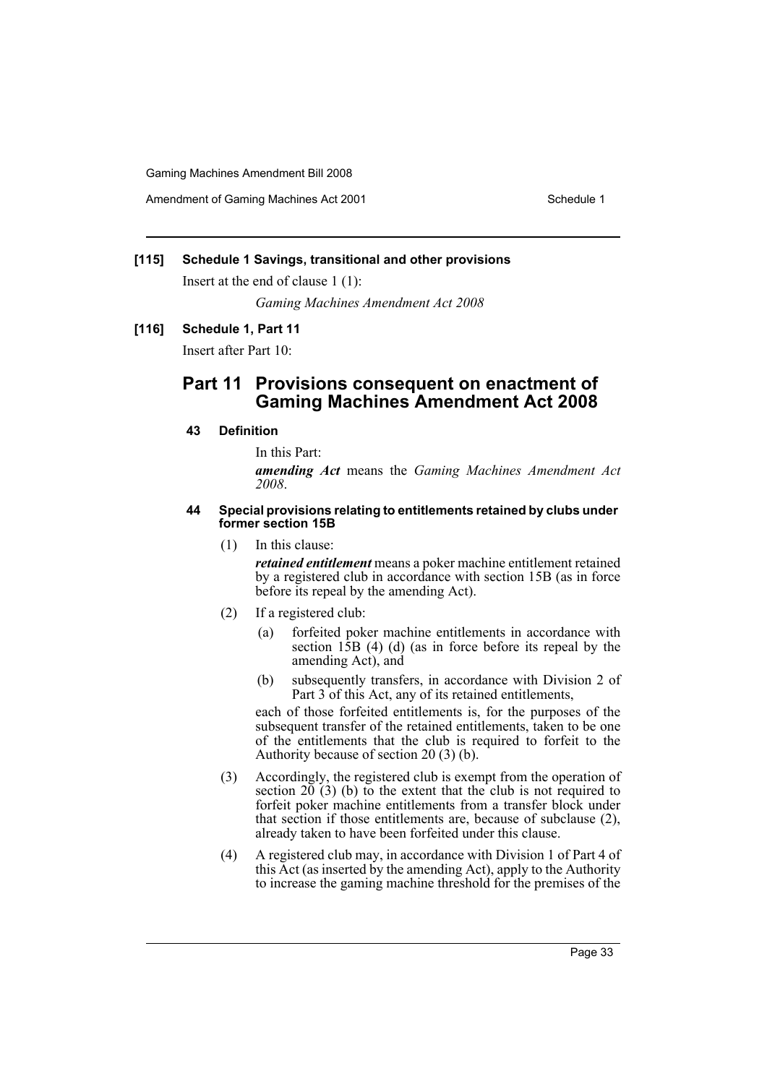Amendment of Gaming Machines Act 2001 Schedule 1

### **[115] Schedule 1 Savings, transitional and other provisions**

Insert at the end of clause 1 (1):

*Gaming Machines Amendment Act 2008*

### **[116] Schedule 1, Part 11**

Insert after Part 10:

### **Part 11 Provisions consequent on enactment of Gaming Machines Amendment Act 2008**

### **43 Definition**

In this Part:

*amending Act* means the *Gaming Machines Amendment Act 2008*.

#### **44 Special provisions relating to entitlements retained by clubs under former section 15B**

(1) In this clause:

*retained entitlement* means a poker machine entitlement retained by a registered club in accordance with section 15B (as in force before its repeal by the amending Act).

- (2) If a registered club:
	- (a) forfeited poker machine entitlements in accordance with section 15B (4) (d) (as in force before its repeal by the amending Act), and
	- (b) subsequently transfers, in accordance with Division 2 of Part 3 of this Act, any of its retained entitlements,

each of those forfeited entitlements is, for the purposes of the subsequent transfer of the retained entitlements, taken to be one of the entitlements that the club is required to forfeit to the Authority because of section 20 (3) (b).

- (3) Accordingly, the registered club is exempt from the operation of section  $20(3)$  (b) to the extent that the club is not required to forfeit poker machine entitlements from a transfer block under that section if those entitlements are, because of subclause (2), already taken to have been forfeited under this clause.
- (4) A registered club may, in accordance with Division 1 of Part 4 of this Act (as inserted by the amending Act), apply to the Authority to increase the gaming machine threshold for the premises of the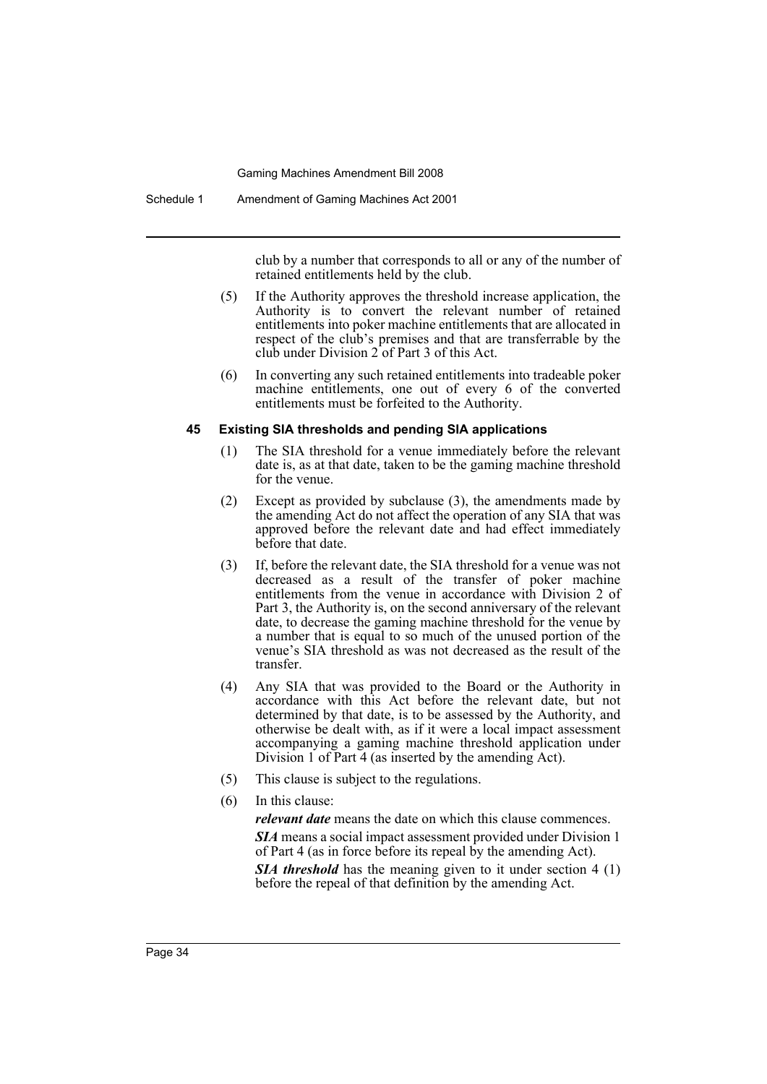Schedule 1 Amendment of Gaming Machines Act 2001

club by a number that corresponds to all or any of the number of retained entitlements held by the club.

- (5) If the Authority approves the threshold increase application, the Authority is to convert the relevant number of retained entitlements into poker machine entitlements that are allocated in respect of the club's premises and that are transferrable by the club under Division 2 of Part 3 of this Act.
- (6) In converting any such retained entitlements into tradeable poker machine entitlements, one out of every 6 of the converted entitlements must be forfeited to the Authority.

### **45 Existing SIA thresholds and pending SIA applications**

- (1) The SIA threshold for a venue immediately before the relevant date is, as at that date, taken to be the gaming machine threshold for the venue.
- (2) Except as provided by subclause (3), the amendments made by the amending Act do not affect the operation of any SIA that was approved before the relevant date and had effect immediately before that date.
- (3) If, before the relevant date, the SIA threshold for a venue was not decreased as a result of the transfer of poker machine entitlements from the venue in accordance with Division 2 of Part 3, the Authority is, on the second anniversary of the relevant date, to decrease the gaming machine threshold for the venue by a number that is equal to so much of the unused portion of the venue's SIA threshold as was not decreased as the result of the transfer.
- (4) Any SIA that was provided to the Board or the Authority in accordance with this Act before the relevant date, but not determined by that date, is to be assessed by the Authority, and otherwise be dealt with, as if it were a local impact assessment accompanying a gaming machine threshold application under Division 1 of Part 4 (as inserted by the amending Act).
- (5) This clause is subject to the regulations.
- (6) In this clause: *relevant date* means the date on which this clause commences. *SIA* means a social impact assessment provided under Division 1 of Part 4 (as in force before its repeal by the amending Act). **SIA threshold** has the meaning given to it under section 4 (1) before the repeal of that definition by the amending Act.